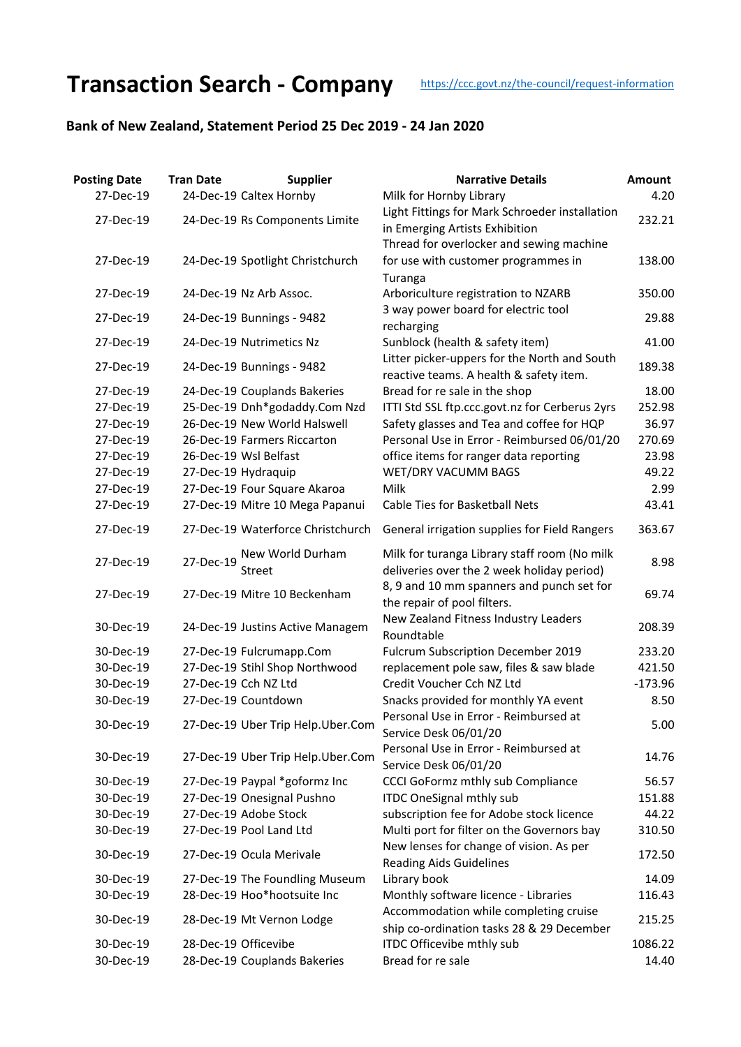## **Transaction Search - Company** [htt](https://ccc.govt.nz/the-council/request-information)ps://ccc.govt.nz/the-council/request-information

## **Bank of New Zealand, Statement Period 25 Dec 2019 - 24 Jan 2020**

| <b>Posting Date</b> | <b>Tran Date</b>     | <b>Supplier</b>                   | <b>Narrative Details</b>                                                                   | Amount    |
|---------------------|----------------------|-----------------------------------|--------------------------------------------------------------------------------------------|-----------|
| 27-Dec-19           |                      | 24-Dec-19 Caltex Hornby           | Milk for Hornby Library                                                                    | 4.20      |
| 27-Dec-19           |                      | 24-Dec-19 Rs Components Limite    | Light Fittings for Mark Schroeder installation<br>in Emerging Artists Exhibition           | 232.21    |
|                     |                      |                                   | Thread for overlocker and sewing machine                                                   |           |
| 27-Dec-19           |                      | 24-Dec-19 Spotlight Christchurch  | for use with customer programmes in<br>Turanga                                             | 138.00    |
| 27-Dec-19           |                      | 24-Dec-19 Nz Arb Assoc.           | Arboriculture registration to NZARB                                                        | 350.00    |
| 27-Dec-19           |                      | 24-Dec-19 Bunnings - 9482         | 3 way power board for electric tool<br>recharging                                          | 29.88     |
| 27-Dec-19           |                      | 24-Dec-19 Nutrimetics Nz          | Sunblock (health & safety item)                                                            | 41.00     |
| 27-Dec-19           |                      | 24-Dec-19 Bunnings - 9482         | Litter picker-uppers for the North and South<br>reactive teams. A health & safety item.    | 189.38    |
| 27-Dec-19           |                      | 24-Dec-19 Couplands Bakeries      | Bread for re sale in the shop                                                              | 18.00     |
| 27-Dec-19           |                      | 25-Dec-19 Dnh*godaddy.Com Nzd     | ITTI Std SSL ftp.ccc.govt.nz for Cerberus 2yrs                                             | 252.98    |
| 27-Dec-19           |                      | 26-Dec-19 New World Halswell      | Safety glasses and Tea and coffee for HQP                                                  | 36.97     |
| 27-Dec-19           |                      | 26-Dec-19 Farmers Riccarton       | Personal Use in Error - Reimbursed 06/01/20                                                | 270.69    |
| 27-Dec-19           |                      | 26-Dec-19 Wsl Belfast             | office items for ranger data reporting                                                     | 23.98     |
| 27-Dec-19           |                      | 27-Dec-19 Hydraquip               | WET/DRY VACUMM BAGS                                                                        | 49.22     |
| 27-Dec-19           |                      | 27-Dec-19 Four Square Akaroa      | Milk                                                                                       | 2.99      |
| 27-Dec-19           |                      | 27-Dec-19 Mitre 10 Mega Papanui   | Cable Ties for Basketball Nets                                                             | 43.41     |
| 27-Dec-19           |                      | 27-Dec-19 Waterforce Christchurch | General irrigation supplies for Field Rangers                                              | 363.67    |
| 27-Dec-19           | 27-Dec-19            | New World Durham<br><b>Street</b> | Milk for turanga Library staff room (No milk<br>deliveries over the 2 week holiday period) | 8.98      |
| 27-Dec-19           |                      | 27-Dec-19 Mitre 10 Beckenham      | 8, 9 and 10 mm spanners and punch set for<br>the repair of pool filters.                   | 69.74     |
| 30-Dec-19           |                      | 24-Dec-19 Justins Active Managem  | New Zealand Fitness Industry Leaders<br>Roundtable                                         | 208.39    |
| 30-Dec-19           |                      | 27-Dec-19 Fulcrumapp.Com          | <b>Fulcrum Subscription December 2019</b>                                                  | 233.20    |
| 30-Dec-19           |                      | 27-Dec-19 Stihl Shop Northwood    | replacement pole saw, files & saw blade                                                    | 421.50    |
| 30-Dec-19           |                      | 27-Dec-19 Cch NZ Ltd              | Credit Voucher Cch NZ Ltd                                                                  | $-173.96$ |
| 30-Dec-19           |                      | 27-Dec-19 Countdown               | Snacks provided for monthly YA event                                                       | 8.50      |
| 30-Dec-19           |                      | 27-Dec-19 Uber Trip Help.Uber.Com | Personal Use in Error - Reimbursed at<br>Service Desk 06/01/20                             | 5.00      |
| 30-Dec-19           |                      | 27-Dec-19 Uber Trip Help.Uber.Com | Personal Use in Error - Reimbursed at<br>Service Desk 06/01/20                             | 14.76     |
| 30-Dec-19           |                      | 27-Dec-19 Paypal *goformz Inc     | CCCI GoFormz mthly sub Compliance                                                          | 56.57     |
| 30-Dec-19           |                      | 27-Dec-19 Onesignal Pushno        | <b>ITDC OneSignal mthly sub</b>                                                            | 151.88    |
| 30-Dec-19           |                      | 27-Dec-19 Adobe Stock             | subscription fee for Adobe stock licence                                                   | 44.22     |
| 30-Dec-19           |                      | 27-Dec-19 Pool Land Ltd           | Multi port for filter on the Governors bay                                                 | 310.50    |
| 30-Dec-19           |                      | 27-Dec-19 Ocula Merivale          | New lenses for change of vision. As per<br><b>Reading Aids Guidelines</b>                  | 172.50    |
| 30-Dec-19           |                      | 27-Dec-19 The Foundling Museum    | Library book                                                                               | 14.09     |
| 30-Dec-19           |                      | 28-Dec-19 Hoo*hootsuite Inc       | Monthly software licence - Libraries                                                       | 116.43    |
| 30-Dec-19           |                      | 28-Dec-19 Mt Vernon Lodge         | Accommodation while completing cruise<br>ship co-ordination tasks 28 & 29 December         | 215.25    |
| 30-Dec-19           | 28-Dec-19 Officevibe |                                   | ITDC Officevibe mthly sub                                                                  | 1086.22   |
| 30-Dec-19           |                      | 28-Dec-19 Couplands Bakeries      | Bread for re sale                                                                          | 14.40     |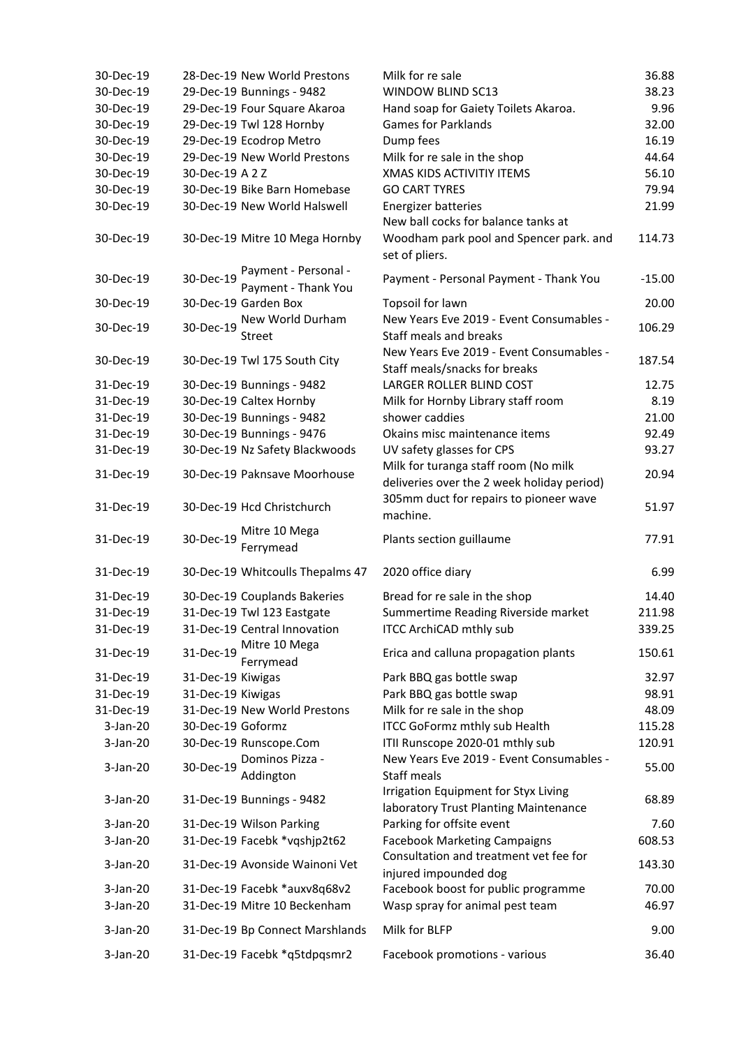| 30-Dec-19  |                   | 28-Dec-19 New World Prestons     | Milk for re sale                            | 36.88    |
|------------|-------------------|----------------------------------|---------------------------------------------|----------|
| 30-Dec-19  |                   | 29-Dec-19 Bunnings - 9482        | <b>WINDOW BLIND SC13</b>                    | 38.23    |
| 30-Dec-19  |                   | 29-Dec-19 Four Square Akaroa     | Hand soap for Gaiety Toilets Akaroa.        | 9.96     |
| 30-Dec-19  |                   | 29-Dec-19 Twl 128 Hornby         | <b>Games for Parklands</b>                  | 32.00    |
| 30-Dec-19  |                   | 29-Dec-19 Ecodrop Metro          | Dump fees                                   | 16.19    |
| 30-Dec-19  |                   | 29-Dec-19 New World Prestons     | Milk for re sale in the shop                | 44.64    |
| 30-Dec-19  | 30-Dec-19 A 2 Z   |                                  | <b>XMAS KIDS ACTIVITIY ITEMS</b>            | 56.10    |
| 30-Dec-19  |                   | 30-Dec-19 Bike Barn Homebase     | <b>GO CART TYRES</b>                        | 79.94    |
| 30-Dec-19  |                   | 30-Dec-19 New World Halswell     | <b>Energizer batteries</b>                  | 21.99    |
|            |                   |                                  | New ball cocks for balance tanks at         |          |
| 30-Dec-19  |                   | 30-Dec-19 Mitre 10 Mega Hornby   | Woodham park pool and Spencer park. and     | 114.73   |
|            |                   |                                  | set of pliers.                              |          |
|            |                   | Payment - Personal -             |                                             |          |
| 30-Dec-19  | 30-Dec-19         | Payment - Thank You              | Payment - Personal Payment - Thank You      | $-15.00$ |
| 30-Dec-19  |                   | 30-Dec-19 Garden Box             | Topsoil for lawn                            | 20.00    |
|            |                   | New World Durham                 | New Years Eve 2019 - Event Consumables -    |          |
| 30-Dec-19  | 30-Dec-19         | <b>Street</b>                    | Staff meals and breaks                      | 106.29   |
|            |                   |                                  | New Years Eve 2019 - Event Consumables -    |          |
| 30-Dec-19  |                   | 30-Dec-19 Twl 175 South City     | Staff meals/snacks for breaks               | 187.54   |
| 31-Dec-19  |                   | 30-Dec-19 Bunnings - 9482        | LARGER ROLLER BLIND COST                    | 12.75    |
| 31-Dec-19  |                   | 30-Dec-19 Caltex Hornby          | Milk for Hornby Library staff room          | 8.19     |
| 31-Dec-19  |                   | 30-Dec-19 Bunnings - 9482        | shower caddies                              | 21.00    |
| 31-Dec-19  |                   | 30-Dec-19 Bunnings - 9476        | Okains misc maintenance items               | 92.49    |
| 31-Dec-19  |                   | 30-Dec-19 Nz Safety Blackwoods   | UV safety glasses for CPS                   | 93.27    |
|            |                   |                                  | Milk for turanga staff room (No milk        |          |
| 31-Dec-19  |                   | 30-Dec-19 Paknsave Moorhouse     | deliveries over the 2 week holiday period)  | 20.94    |
|            |                   |                                  | 305mm duct for repairs to pioneer wave      |          |
| 31-Dec-19  |                   | 30-Dec-19 Hcd Christchurch       | machine.                                    | 51.97    |
|            |                   | Mitre 10 Mega                    |                                             |          |
| 31-Dec-19  | 30-Dec-19         | Ferrymead                        | Plants section guillaume                    | 77.91    |
|            |                   |                                  |                                             |          |
| 31-Dec-19  |                   | 30-Dec-19 Whitcoulls Thepalms 47 | 2020 office diary                           | 6.99     |
| 31-Dec-19  |                   | 30-Dec-19 Couplands Bakeries     | Bread for re sale in the shop               | 14.40    |
| 31-Dec-19  |                   | 31-Dec-19 Twl 123 Eastgate       | Summertime Reading Riverside market         | 211.98   |
| 31-Dec-19  |                   | 31-Dec-19 Central Innovation     | <b>ITCC ArchiCAD mthly sub</b>              | 339.25   |
|            |                   | Mitre 10 Mega                    |                                             |          |
| 31-Dec-19  | 31-Dec-19         | Ferrymead                        | Erica and calluna propagation plants        | 150.61   |
| 31-Dec-19  | 31-Dec-19 Kiwigas |                                  | Park BBQ gas bottle swap                    | 32.97    |
| 31-Dec-19  | 31-Dec-19 Kiwigas |                                  | Park BBQ gas bottle swap                    | 98.91    |
| 31-Dec-19  |                   | 31-Dec-19 New World Prestons     | Milk for re sale in the shop                | 48.09    |
| $3-Jan-20$ | 30-Dec-19 Goformz |                                  | <b>ITCC GoFormz mthly sub Health</b>        | 115.28   |
| 3-Jan-20   |                   | 30-Dec-19 Runscope.Com           | ITII Runscope 2020-01 mthly sub             | 120.91   |
|            |                   | Dominos Pizza -                  | New Years Eve 2019 - Event Consumables -    |          |
| 3-Jan-20   | 30-Dec-19         | Addington                        | Staff meals                                 | 55.00    |
|            |                   |                                  | <b>Irrigation Equipment for Styx Living</b> |          |
| $3-Jan-20$ |                   | 31-Dec-19 Bunnings - 9482        | laboratory Trust Planting Maintenance       | 68.89    |
| $3-Jan-20$ |                   | 31-Dec-19 Wilson Parking         | Parking for offsite event                   | 7.60     |
| $3-Jan-20$ |                   | 31-Dec-19 Facebk *vqshjp2t62     | <b>Facebook Marketing Campaigns</b>         | 608.53   |
|            |                   |                                  | Consultation and treatment vet fee for      |          |
| $3-Jan-20$ |                   | 31-Dec-19 Avonside Wainoni Vet   | injured impounded dog                       | 143.30   |
| $3-Jan-20$ |                   | 31-Dec-19 Facebk *auxv8q68v2     | Facebook boost for public programme         | 70.00    |
| $3-Jan-20$ |                   | 31-Dec-19 Mitre 10 Beckenham     | Wasp spray for animal pest team             | 46.97    |
|            |                   |                                  |                                             |          |
| $3-Jan-20$ |                   | 31-Dec-19 Bp Connect Marshlands  | Milk for BLFP                               | 9.00     |
| 3-Jan-20   |                   | 31-Dec-19 Facebk *q5tdpqsmr2     | Facebook promotions - various               | 36.40    |
|            |                   |                                  |                                             |          |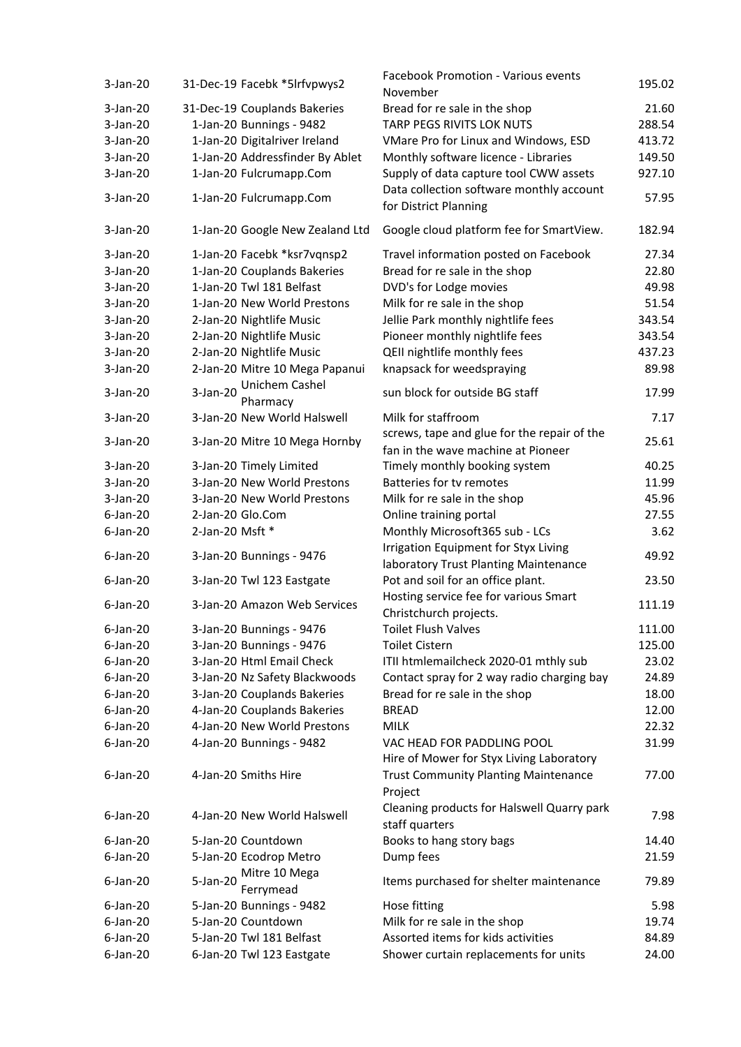| $3-Jan-20$  | 31-Dec-19 Facebk *5lrfvpwys2           | <b>Facebook Promotion - Various events</b><br>November                               | 195.02 |
|-------------|----------------------------------------|--------------------------------------------------------------------------------------|--------|
| $3-Jan-20$  | 31-Dec-19 Couplands Bakeries           | Bread for re sale in the shop                                                        | 21.60  |
| $3-Jan-20$  | 1-Jan-20 Bunnings - 9482               | TARP PEGS RIVITS LOK NUTS                                                            | 288.54 |
| $3-Jan-20$  | 1-Jan-20 Digitalriver Ireland          | VMare Pro for Linux and Windows, ESD                                                 | 413.72 |
| 3-Jan-20    | 1-Jan-20 Addressfinder By Ablet        | Monthly software licence - Libraries                                                 | 149.50 |
| $3-Jan-20$  | 1-Jan-20 Fulcrumapp.Com                | Supply of data capture tool CWW assets                                               | 927.10 |
| 3-Jan-20    | 1-Jan-20 Fulcrumapp.Com                | Data collection software monthly account<br>for District Planning                    | 57.95  |
| $3-Jan-20$  | 1-Jan-20 Google New Zealand Ltd        | Google cloud platform fee for SmartView.                                             | 182.94 |
| 3-Jan-20    | 1-Jan-20 Facebk *ksr7vqnsp2            | Travel information posted on Facebook                                                | 27.34  |
| $3-Jan-20$  | 1-Jan-20 Couplands Bakeries            | Bread for re sale in the shop                                                        | 22.80  |
| 3-Jan-20    | 1-Jan-20 Twl 181 Belfast               | DVD's for Lodge movies                                                               | 49.98  |
| $3$ -Jan-20 | 1-Jan-20 New World Prestons            | Milk for re sale in the shop                                                         | 51.54  |
| $3-Jan-20$  | 2-Jan-20 Nightlife Music               | Jellie Park monthly nightlife fees                                                   | 343.54 |
| $3-Jan-20$  | 2-Jan-20 Nightlife Music               | Pioneer monthly nightlife fees                                                       | 343.54 |
| $3-Jan-20$  | 2-Jan-20 Nightlife Music               | QEII nightlife monthly fees                                                          | 437.23 |
| $3-Jan-20$  | 2-Jan-20 Mitre 10 Mega Papanui         | knapsack for weedspraying                                                            | 89.98  |
| 3-Jan-20    | Unichem Cashel<br>3-Jan-20             | sun block for outside BG staff                                                       | 17.99  |
|             | Pharmacy                               |                                                                                      |        |
| 3-Jan-20    | 3-Jan-20 New World Halswell            | Milk for staffroom                                                                   | 7.17   |
| 3-Jan-20    | 3-Jan-20 Mitre 10 Mega Hornby          | screws, tape and glue for the repair of the<br>fan in the wave machine at Pioneer    | 25.61  |
| $3-Jan-20$  | 3-Jan-20 Timely Limited                | Timely monthly booking system                                                        | 40.25  |
| 3-Jan-20    | 3-Jan-20 New World Prestons            | <b>Batteries for tv remotes</b>                                                      | 11.99  |
| $3$ -Jan-20 | 3-Jan-20 New World Prestons            | Milk for re sale in the shop                                                         | 45.96  |
| $6$ -Jan-20 | 2-Jan-20 Glo.Com                       | Online training portal                                                               | 27.55  |
| $6$ -Jan-20 | 2-Jan-20 Msft *                        | Monthly Microsoft365 sub - LCs                                                       | 3.62   |
| $6$ -Jan-20 | 3-Jan-20 Bunnings - 9476               | <b>Irrigation Equipment for Styx Living</b><br>laboratory Trust Planting Maintenance | 49.92  |
| $6$ -Jan-20 | 3-Jan-20 Twl 123 Eastgate              | Pot and soil for an office plant.                                                    | 23.50  |
| $6$ -Jan-20 | 3-Jan-20 Amazon Web Services           | Hosting service fee for various Smart<br>Christchurch projects.                      | 111.19 |
| $6$ -Jan-20 | 3-Jan-20 Bunnings - 9476               | <b>Toilet Flush Valves</b>                                                           | 111.00 |
| $6$ -Jan-20 | 3-Jan-20 Bunnings - 9476               | <b>Toilet Cistern</b>                                                                | 125.00 |
| $6$ -Jan-20 | 3-Jan-20 Html Email Check              | ITII htmlemailcheck 2020-01 mthly sub                                                | 23.02  |
| $6$ -Jan-20 | 3-Jan-20 Nz Safety Blackwoods          | Contact spray for 2 way radio charging bay                                           | 24.89  |
| $6$ -Jan-20 | 3-Jan-20 Couplands Bakeries            | Bread for re sale in the shop                                                        | 18.00  |
| $6$ -Jan-20 | 4-Jan-20 Couplands Bakeries            | <b>BREAD</b>                                                                         | 12.00  |
| $6$ -Jan-20 | 4-Jan-20 New World Prestons            | <b>MILK</b>                                                                          | 22.32  |
| $6$ -Jan-20 | 4-Jan-20 Bunnings - 9482               | VAC HEAD FOR PADDLING POOL<br>Hire of Mower for Styx Living Laboratory               | 31.99  |
| $6$ -Jan-20 | 4-Jan-20 Smiths Hire                   | <b>Trust Community Planting Maintenance</b><br>Project                               | 77.00  |
| $6$ -Jan-20 | 4-Jan-20 New World Halswell            | Cleaning products for Halswell Quarry park<br>staff quarters                         | 7.98   |
| $6$ -Jan-20 | 5-Jan-20 Countdown                     | Books to hang story bags                                                             | 14.40  |
| $6$ -Jan-20 | 5-Jan-20 Ecodrop Metro                 | Dump fees                                                                            | 21.59  |
| $6$ -Jan-20 | Mitre 10 Mega<br>5-Jan-20<br>Ferrymead | Items purchased for shelter maintenance                                              | 79.89  |
| $6$ -Jan-20 | 5-Jan-20 Bunnings - 9482               | Hose fitting                                                                         | 5.98   |
| $6$ -Jan-20 | 5-Jan-20 Countdown                     | Milk for re sale in the shop                                                         | 19.74  |
| $6$ -Jan-20 | 5-Jan-20 Twl 181 Belfast               | Assorted items for kids activities                                                   | 84.89  |
| $6$ -Jan-20 | 6-Jan-20 Twl 123 Eastgate              | Shower curtain replacements for units                                                | 24.00  |
|             |                                        |                                                                                      |        |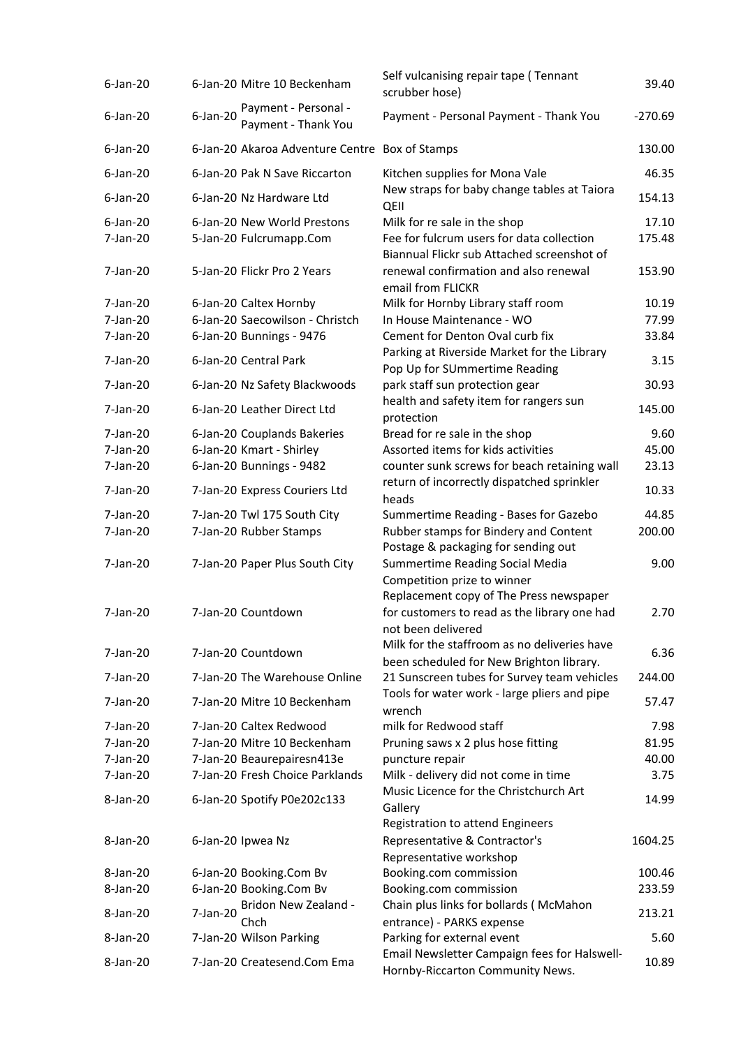| $6$ -Jan-20 |             | 6-Jan-20 Mitre 10 Beckenham                    | Self vulcanising repair tape (Tennant<br>scrubber hose)                                     | 39.40     |
|-------------|-------------|------------------------------------------------|---------------------------------------------------------------------------------------------|-----------|
| $6$ -Jan-20 | $6$ -Jan-20 | Payment - Personal -<br>Payment - Thank You    | Payment - Personal Payment - Thank You                                                      | $-270.69$ |
| $6$ -Jan-20 |             | 6-Jan-20 Akaroa Adventure Centre Box of Stamps |                                                                                             | 130.00    |
| $6$ -Jan-20 |             | 6-Jan-20 Pak N Save Riccarton                  | Kitchen supplies for Mona Vale                                                              | 46.35     |
| $6$ -Jan-20 |             | 6-Jan-20 Nz Hardware Ltd                       | New straps for baby change tables at Taiora<br>QEII                                         | 154.13    |
| $6$ -Jan-20 |             | 6-Jan-20 New World Prestons                    | Milk for re sale in the shop                                                                | 17.10     |
| 7-Jan-20    |             | 5-Jan-20 Fulcrumapp.Com                        | Fee for fulcrum users for data collection<br>Biannual Flickr sub Attached screenshot of     | 175.48    |
| 7-Jan-20    |             | 5-Jan-20 Flickr Pro 2 Years                    | renewal confirmation and also renewal<br>email from FLICKR                                  | 153.90    |
| 7-Jan-20    |             | 6-Jan-20 Caltex Hornby                         | Milk for Hornby Library staff room                                                          | 10.19     |
| 7-Jan-20    |             | 6-Jan-20 Saecowilson - Christch                | In House Maintenance - WO                                                                   | 77.99     |
| 7-Jan-20    |             | 6-Jan-20 Bunnings - 9476                       | Cement for Denton Oval curb fix                                                             | 33.84     |
| 7-Jan-20    |             | 6-Jan-20 Central Park                          | Parking at Riverside Market for the Library                                                 | 3.15      |
|             |             |                                                | Pop Up for SUmmertime Reading                                                               |           |
| 7-Jan-20    |             | 6-Jan-20 Nz Safety Blackwoods                  | park staff sun protection gear<br>health and safety item for rangers sun                    | 30.93     |
| 7-Jan-20    |             | 6-Jan-20 Leather Direct Ltd                    | protection                                                                                  | 145.00    |
| 7-Jan-20    |             | 6-Jan-20 Couplands Bakeries                    | Bread for re sale in the shop                                                               | 9.60      |
| 7-Jan-20    |             | 6-Jan-20 Kmart - Shirley                       | Assorted items for kids activities                                                          | 45.00     |
| 7-Jan-20    |             | 6-Jan-20 Bunnings - 9482                       | counter sunk screws for beach retaining wall                                                | 23.13     |
| 7-Jan-20    |             | 7-Jan-20 Express Couriers Ltd                  | return of incorrectly dispatched sprinkler<br>heads                                         | 10.33     |
| 7-Jan-20    |             | 7-Jan-20 Twl 175 South City                    | Summertime Reading - Bases for Gazebo                                                       | 44.85     |
| 7-Jan-20    |             | 7-Jan-20 Rubber Stamps                         | Rubber stamps for Bindery and Content<br>Postage & packaging for sending out                | 200.00    |
| 7-Jan-20    |             | 7-Jan-20 Paper Plus South City                 | Summertime Reading Social Media                                                             | 9.00      |
|             |             |                                                | Competition prize to winner                                                                 |           |
|             |             |                                                | Replacement copy of The Press newspaper                                                     |           |
| 7-Jan-20    |             | 7-Jan-20 Countdown                             | for customers to read as the library one had<br>not been delivered                          | 2.70      |
| 7-Jan-20    |             | 7-Jan-20 Countdown                             | Milk for the staffroom as no deliveries have                                                | 6.36      |
|             |             |                                                | been scheduled for New Brighton library.                                                    |           |
| 7-Jan-20    |             | 7-Jan-20 The Warehouse Online                  | 21 Sunscreen tubes for Survey team vehicles<br>Tools for water work - large pliers and pipe | 244.00    |
| 7-Jan-20    |             | 7-Jan-20 Mitre 10 Beckenham                    | wrench                                                                                      | 57.47     |
| 7-Jan-20    |             | 7-Jan-20 Caltex Redwood                        | milk for Redwood staff                                                                      | 7.98      |
| 7-Jan-20    |             | 7-Jan-20 Mitre 10 Beckenham                    | Pruning saws x 2 plus hose fitting                                                          | 81.95     |
| 7-Jan-20    |             | 7-Jan-20 Beaurepairesn413e                     | puncture repair                                                                             | 40.00     |
| 7-Jan-20    |             | 7-Jan-20 Fresh Choice Parklands                | Milk - delivery did not come in time                                                        | 3.75      |
| 8-Jan-20    |             | 6-Jan-20 Spotify P0e202c133                    | Music Licence for the Christchurch Art<br>Gallery                                           | 14.99     |
|             |             |                                                | <b>Registration to attend Engineers</b>                                                     |           |
| 8-Jan-20    |             | 6-Jan-20 Ipwea Nz                              | Representative & Contractor's<br>Representative workshop                                    | 1604.25   |
| 8-Jan-20    |             | 6-Jan-20 Booking.Com Bv                        | Booking.com commission                                                                      | 100.46    |
| 8-Jan-20    |             | 6-Jan-20 Booking.Com Bv                        | Booking.com commission                                                                      | 233.59    |
|             |             | Bridon New Zealand -                           | Chain plus links for bollards (McMahon                                                      |           |
| 8-Jan-20    | 7-Jan-20    | Chch                                           | entrance) - PARKS expense                                                                   | 213.21    |
| 8-Jan-20    |             | 7-Jan-20 Wilson Parking                        | Parking for external event                                                                  | 5.60      |
| 8-Jan-20    |             | 7-Jan-20 Createsend.Com Ema                    | Email Newsletter Campaign fees for Halswell-<br>Hornby-Riccarton Community News.            | 10.89     |
|             |             |                                                |                                                                                             |           |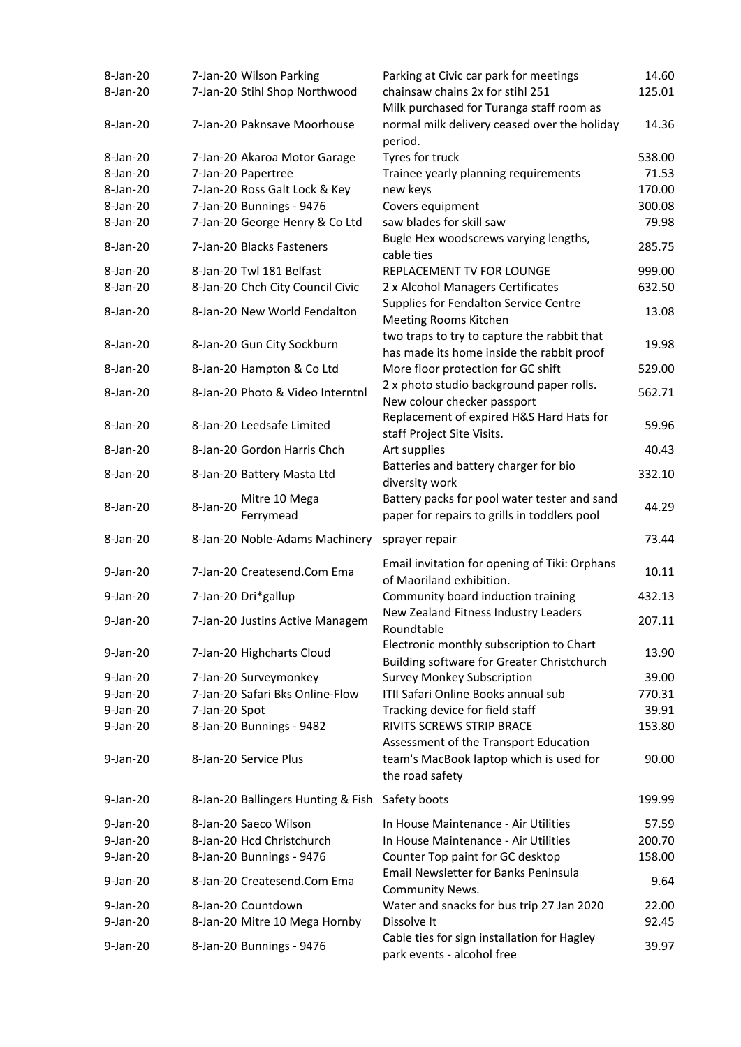| 8-Jan-20    | 7-Jan-20 Wilson Parking                         | Parking at Civic car park for meetings                                                              | 14.60  |
|-------------|-------------------------------------------------|-----------------------------------------------------------------------------------------------------|--------|
| 8-Jan-20    | 7-Jan-20 Stihl Shop Northwood                   | chainsaw chains 2x for stihl 251<br>Milk purchased for Turanga staff room as                        | 125.01 |
| 8-Jan-20    | 7-Jan-20 Paknsave Moorhouse                     | normal milk delivery ceased over the holiday<br>period.                                             | 14.36  |
| 8-Jan-20    | 7-Jan-20 Akaroa Motor Garage                    | Tyres for truck                                                                                     | 538.00 |
| 8-Jan-20    | 7-Jan-20 Papertree                              | Trainee yearly planning requirements                                                                | 71.53  |
| 8-Jan-20    | 7-Jan-20 Ross Galt Lock & Key                   | new keys                                                                                            | 170.00 |
| 8-Jan-20    | 7-Jan-20 Bunnings - 9476                        | Covers equipment                                                                                    | 300.08 |
| 8-Jan-20    | 7-Jan-20 George Henry & Co Ltd                  | saw blades for skill saw                                                                            | 79.98  |
|             |                                                 | Bugle Hex woodscrews varying lengths,                                                               |        |
| 8-Jan-20    | 7-Jan-20 Blacks Fasteners                       | cable ties                                                                                          | 285.75 |
| 8-Jan-20    | 8-Jan-20 Twl 181 Belfast                        | REPLACEMENT TV FOR LOUNGE                                                                           | 999.00 |
| 8-Jan-20    | 8-Jan-20 Chch City Council Civic                | 2 x Alcohol Managers Certificates                                                                   | 632.50 |
| 8-Jan-20    | 8-Jan-20 New World Fendalton                    | <b>Supplies for Fendalton Service Centre</b><br>Meeting Rooms Kitchen                               | 13.08  |
| 8-Jan-20    | 8-Jan-20 Gun City Sockburn                      | two traps to try to capture the rabbit that<br>has made its home inside the rabbit proof            | 19.98  |
| 8-Jan-20    | 8-Jan-20 Hampton & Co Ltd                       | More floor protection for GC shift                                                                  | 529.00 |
| 8-Jan-20    | 8-Jan-20 Photo & Video Interntnl                | 2 x photo studio background paper rolls.                                                            | 562.71 |
|             |                                                 | New colour checker passport                                                                         |        |
| 8-Jan-20    | 8-Jan-20 Leedsafe Limited                       | Replacement of expired H&S Hard Hats for<br>staff Project Site Visits.                              | 59.96  |
| 8-Jan-20    | 8-Jan-20 Gordon Harris Chch                     | Art supplies                                                                                        | 40.43  |
| 8-Jan-20    | 8-Jan-20 Battery Masta Ltd                      | Batteries and battery charger for bio<br>diversity work                                             | 332.10 |
| 8-Jan-20    | Mitre 10 Mega<br>8-Jan-20<br>Ferrymead          | Battery packs for pool water tester and sand<br>paper for repairs to grills in toddlers pool        | 44.29  |
| 8-Jan-20    | 8-Jan-20 Noble-Adams Machinery                  | sprayer repair                                                                                      | 73.44  |
| 9-Jan-20    | 7-Jan-20 Createsend.Com Ema                     | Email invitation for opening of Tiki: Orphans                                                       | 10.11  |
|             |                                                 | of Maoriland exhibition.                                                                            |        |
| 9-Jan-20    | 7-Jan-20 Dri*gallup                             | Community board induction training                                                                  | 432.13 |
| 9-Jan-20    | 7-Jan-20 Justins Active Managem                 | New Zealand Fitness Industry Leaders<br>Roundtable                                                  | 207.11 |
| 9-Jan-20    | 7-Jan-20 Highcharts Cloud                       | Electronic monthly subscription to Chart<br>Building software for Greater Christchurch              | 13.90  |
| 9-Jan-20    | 7-Jan-20 Surveymonkey                           | <b>Survey Monkey Subscription</b>                                                                   | 39.00  |
| $9$ -Jan-20 | 7-Jan-20 Safari Bks Online-Flow                 | ITII Safari Online Books annual sub                                                                 | 770.31 |
| 9-Jan-20    | 7-Jan-20 Spot                                   | Tracking device for field staff                                                                     | 39.91  |
| 9-Jan-20    | 8-Jan-20 Bunnings - 9482                        | RIVITS SCREWS STRIP BRACE                                                                           | 153.80 |
| 9-Jan-20    | 8-Jan-20 Service Plus                           | Assessment of the Transport Education<br>team's MacBook laptop which is used for<br>the road safety | 90.00  |
| 9-Jan-20    | 8-Jan-20 Ballingers Hunting & Fish Safety boots |                                                                                                     | 199.99 |
| $9$ -Jan-20 | 8-Jan-20 Saeco Wilson                           | In House Maintenance - Air Utilities                                                                | 57.59  |
| $9$ -Jan-20 | 8-Jan-20 Hcd Christchurch                       | In House Maintenance - Air Utilities                                                                | 200.70 |
| 9-Jan-20    | 8-Jan-20 Bunnings - 9476                        | Counter Top paint for GC desktop                                                                    | 158.00 |
| 9-Jan-20    | 8-Jan-20 Createsend.Com Ema                     | <b>Email Newsletter for Banks Peninsula</b><br><b>Community News.</b>                               | 9.64   |
| 9-Jan-20    | 8-Jan-20 Countdown                              | Water and snacks for bus trip 27 Jan 2020                                                           | 22.00  |
| 9-Jan-20    | 8-Jan-20 Mitre 10 Mega Hornby                   | Dissolve It                                                                                         | 92.45  |
| 9-Jan-20    | 8-Jan-20 Bunnings - 9476                        | Cable ties for sign installation for Hagley<br>park events - alcohol free                           | 39.97  |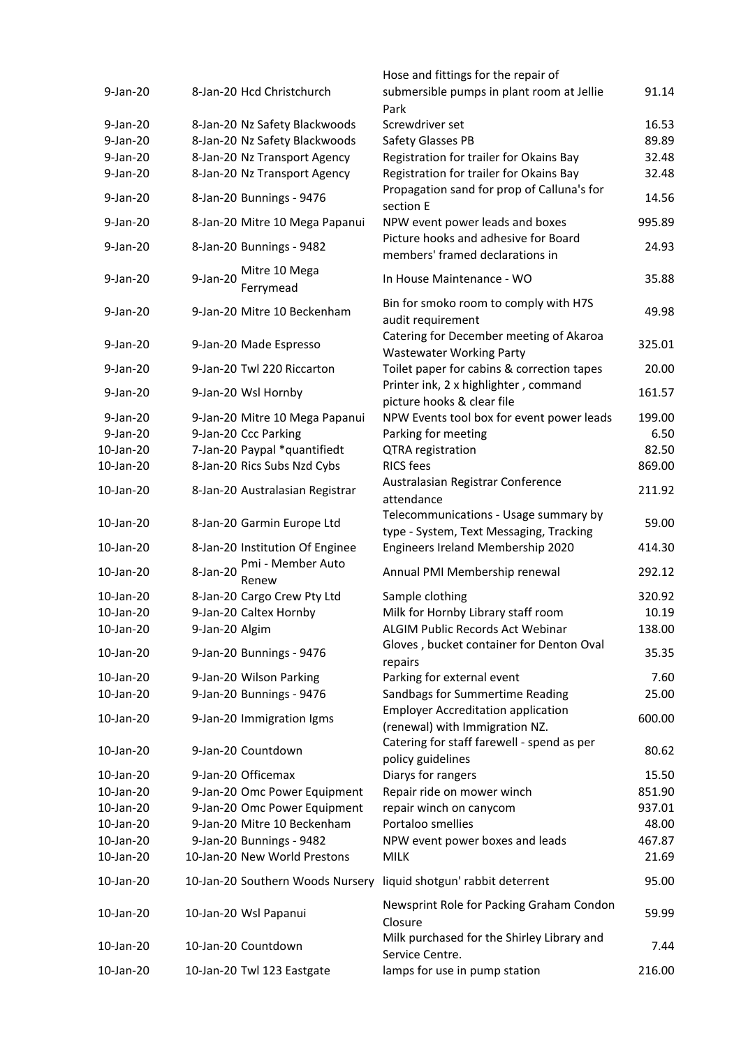|             |                                        | Hose and fittings for the repair of                                              |        |
|-------------|----------------------------------------|----------------------------------------------------------------------------------|--------|
| $9$ -Jan-20 | 8-Jan-20 Hcd Christchurch              | submersible pumps in plant room at Jellie<br>Park                                | 91.14  |
| $9-Jan-20$  | 8-Jan-20 Nz Safety Blackwoods          | Screwdriver set                                                                  | 16.53  |
| 9-Jan-20    | 8-Jan-20 Nz Safety Blackwoods          | Safety Glasses PB                                                                | 89.89  |
| 9-Jan-20    | 8-Jan-20 Nz Transport Agency           | Registration for trailer for Okains Bay                                          | 32.48  |
| 9-Jan-20    | 8-Jan-20 Nz Transport Agency           | Registration for trailer for Okains Bay                                          | 32.48  |
| 9-Jan-20    | 8-Jan-20 Bunnings - 9476               | Propagation sand for prop of Calluna's for<br>section E                          | 14.56  |
| 9-Jan-20    | 8-Jan-20 Mitre 10 Mega Papanui         | NPW event power leads and boxes                                                  | 995.89 |
| 9-Jan-20    | 8-Jan-20 Bunnings - 9482               | Picture hooks and adhesive for Board<br>members' framed declarations in          | 24.93  |
| 9-Jan-20    | Mitre 10 Mega<br>9-Jan-20<br>Ferrymead | In House Maintenance - WO                                                        | 35.88  |
| 9-Jan-20    | 9-Jan-20 Mitre 10 Beckenham            | Bin for smoko room to comply with H7S<br>audit requirement                       | 49.98  |
| $9$ -Jan-20 | 9-Jan-20 Made Espresso                 | Catering for December meeting of Akaroa<br><b>Wastewater Working Party</b>       | 325.01 |
| 9-Jan-20    | 9-Jan-20 Twl 220 Riccarton             | Toilet paper for cabins & correction tapes                                       | 20.00  |
| 9-Jan-20    | 9-Jan-20 Wsl Hornby                    | Printer ink, 2 x highlighter, command<br>picture hooks & clear file              | 161.57 |
| 9-Jan-20    | 9-Jan-20 Mitre 10 Mega Papanui         | NPW Events tool box for event power leads                                        | 199.00 |
| $9$ -Jan-20 | 9-Jan-20 Ccc Parking                   | Parking for meeting                                                              | 6.50   |
| 10-Jan-20   | 7-Jan-20 Paypal *quantifiedt           | <b>QTRA</b> registration                                                         | 82.50  |
| 10-Jan-20   | 8-Jan-20 Rics Subs Nzd Cybs            | <b>RICS fees</b>                                                                 | 869.00 |
| 10-Jan-20   | 8-Jan-20 Australasian Registrar        | Australasian Registrar Conference<br>attendance                                  | 211.92 |
| 10-Jan-20   | 8-Jan-20 Garmin Europe Ltd             | Telecommunications - Usage summary by<br>type - System, Text Messaging, Tracking | 59.00  |
| 10-Jan-20   | 8-Jan-20 Institution Of Enginee        | Engineers Ireland Membership 2020                                                | 414.30 |
| 10-Jan-20   | Pmi - Member Auto<br>8-Jan-20<br>Renew | Annual PMI Membership renewal                                                    | 292.12 |
| 10-Jan-20   | 8-Jan-20 Cargo Crew Pty Ltd            | Sample clothing                                                                  | 320.92 |
| 10-Jan-20   | 9-Jan-20 Caltex Hornby                 | Milk for Hornby Library staff room                                               | 10.19  |
| 10-Jan-20   | 9-Jan-20 Algim                         | <b>ALGIM Public Records Act Webinar</b>                                          | 138.00 |
| 10-Jan-20   | 9-Jan-20 Bunnings - 9476               | Gloves, bucket container for Denton Oval<br>repairs                              | 35.35  |
| 10-Jan-20   | 9-Jan-20 Wilson Parking                | Parking for external event                                                       | 7.60   |
| 10-Jan-20   | 9-Jan-20 Bunnings - 9476               | Sandbags for Summertime Reading                                                  | 25.00  |
|             |                                        | <b>Employer Accreditation application</b>                                        |        |
| 10-Jan-20   | 9-Jan-20 Immigration Igms              | (renewal) with Immigration NZ.                                                   | 600.00 |
| 10-Jan-20   | 9-Jan-20 Countdown                     | Catering for staff farewell - spend as per<br>policy guidelines                  | 80.62  |
| 10-Jan-20   | 9-Jan-20 Officemax                     | Diarys for rangers                                                               | 15.50  |
| 10-Jan-20   | 9-Jan-20 Omc Power Equipment           | Repair ride on mower winch                                                       | 851.90 |
| 10-Jan-20   | 9-Jan-20 Omc Power Equipment           | repair winch on canycom                                                          | 937.01 |
| 10-Jan-20   | 9-Jan-20 Mitre 10 Beckenham            | Portaloo smellies                                                                | 48.00  |
| 10-Jan-20   | 9-Jan-20 Bunnings - 9482               | NPW event power boxes and leads                                                  | 467.87 |
| 10-Jan-20   | 10-Jan-20 New World Prestons           | <b>MILK</b>                                                                      | 21.69  |
| 10-Jan-20   | 10-Jan-20 Southern Woods Nursery       | liquid shotgun' rabbit deterrent                                                 | 95.00  |
| 10-Jan-20   | 10-Jan-20 Wsl Papanui                  | Newsprint Role for Packing Graham Condon<br>Closure                              | 59.99  |
| 10-Jan-20   | 10-Jan-20 Countdown                    | Milk purchased for the Shirley Library and<br>Service Centre.                    | 7.44   |
| 10-Jan-20   | 10-Jan-20 Twl 123 Eastgate             | lamps for use in pump station                                                    | 216.00 |
|             |                                        |                                                                                  |        |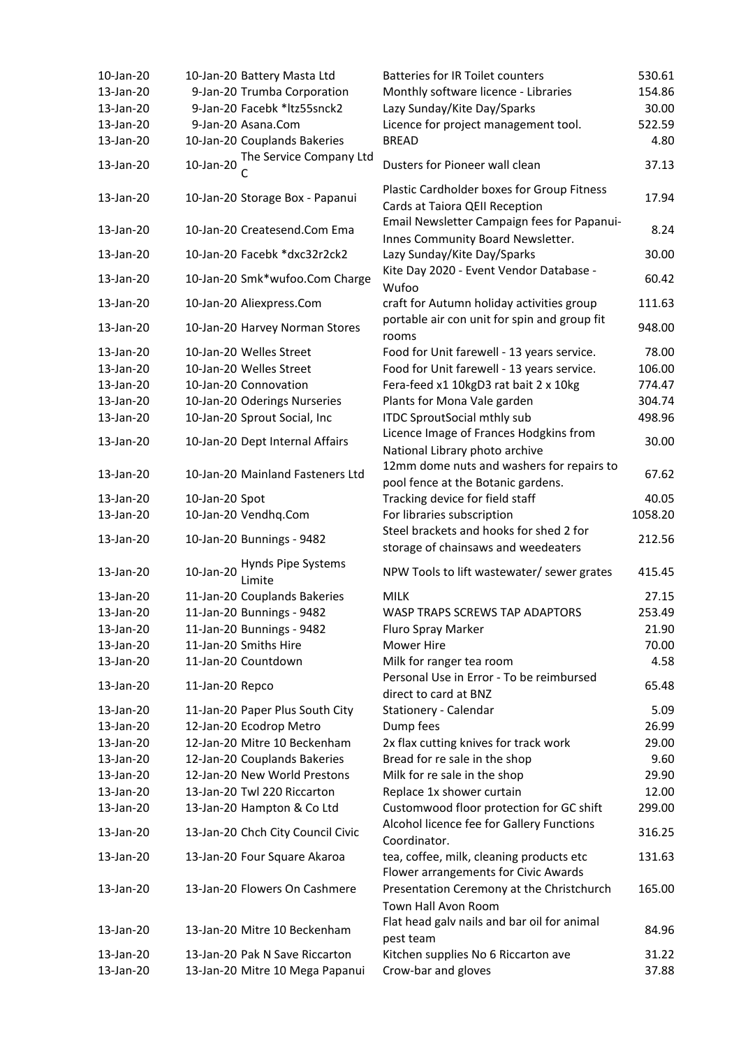| 10-Jan-20 | 10-Jan-20 Battery Masta Ltd               | <b>Batteries for IR Toilet counters</b>                                          | 530.61  |
|-----------|-------------------------------------------|----------------------------------------------------------------------------------|---------|
| 13-Jan-20 | 9-Jan-20 Trumba Corporation               | Monthly software licence - Libraries                                             | 154.86  |
| 13-Jan-20 | 9-Jan-20 Facebk *ltz55snck2               | Lazy Sunday/Kite Day/Sparks                                                      | 30.00   |
| 13-Jan-20 | 9-Jan-20 Asana.Com                        | Licence for project management tool.                                             | 522.59  |
| 13-Jan-20 | 10-Jan-20 Couplands Bakeries              | <b>BREAD</b>                                                                     | 4.80    |
| 13-Jan-20 | The Service Company Ltd<br>10-Jan-20      | Dusters for Pioneer wall clean                                                   | 37.13   |
| 13-Jan-20 | 10-Jan-20 Storage Box - Papanui           | Plastic Cardholder boxes for Group Fitness<br>Cards at Taiora QEII Reception     | 17.94   |
| 13-Jan-20 | 10-Jan-20 Createsend.Com Ema              | Email Newsletter Campaign fees for Papanui-<br>Innes Community Board Newsletter. | 8.24    |
| 13-Jan-20 | 10-Jan-20 Facebk *dxc32r2ck2              | Lazy Sunday/Kite Day/Sparks                                                      | 30.00   |
| 13-Jan-20 | 10-Jan-20 Smk*wufoo.Com Charge            | Kite Day 2020 - Event Vendor Database -<br>Wufoo                                 | 60.42   |
| 13-Jan-20 | 10-Jan-20 Aliexpress.Com                  | craft for Autumn holiday activities group                                        | 111.63  |
| 13-Jan-20 | 10-Jan-20 Harvey Norman Stores            | portable air con unit for spin and group fit<br>rooms                            | 948.00  |
| 13-Jan-20 | 10-Jan-20 Welles Street                   | Food for Unit farewell - 13 years service.                                       | 78.00   |
| 13-Jan-20 | 10-Jan-20 Welles Street                   | Food for Unit farewell - 13 years service.                                       | 106.00  |
| 13-Jan-20 | 10-Jan-20 Connovation                     | Fera-feed x1 10kgD3 rat bait 2 x 10kg                                            | 774.47  |
| 13-Jan-20 | 10-Jan-20 Oderings Nurseries              | Plants for Mona Vale garden                                                      | 304.74  |
| 13-Jan-20 | 10-Jan-20 Sprout Social, Inc              | <b>ITDC SproutSocial mthly sub</b>                                               | 498.96  |
|           |                                           | Licence Image of Frances Hodgkins from                                           |         |
| 13-Jan-20 | 10-Jan-20 Dept Internal Affairs           | National Library photo archive                                                   | 30.00   |
| 13-Jan-20 | 10-Jan-20 Mainland Fasteners Ltd          | 12mm dome nuts and washers for repairs to                                        | 67.62   |
|           |                                           | pool fence at the Botanic gardens.                                               |         |
| 13-Jan-20 | 10-Jan-20 Spot                            | Tracking device for field staff                                                  | 40.05   |
| 13-Jan-20 | 10-Jan-20 Vendhq.Com                      | For libraries subscription                                                       | 1058.20 |
| 13-Jan-20 | 10-Jan-20 Bunnings - 9482                 | Steel brackets and hooks for shed 2 for<br>storage of chainsaws and weedeaters   | 212.56  |
| 13-Jan-20 | Hynds Pipe Systems<br>10-Jan-20<br>Limite | NPW Tools to lift wastewater/ sewer grates                                       | 415.45  |
| 13-Jan-20 | 11-Jan-20 Couplands Bakeries              | <b>MILK</b>                                                                      | 27.15   |
| 13-Jan-20 | 11-Jan-20 Bunnings - 9482                 | WASP TRAPS SCREWS TAP ADAPTORS                                                   | 253.49  |
| 13-Jan-20 | 11-Jan-20 Bunnings - 9482                 | Fluro Spray Marker                                                               | 21.90   |
| 13-Jan-20 | 11-Jan-20 Smiths Hire                     | Mower Hire                                                                       | 70.00   |
| 13-Jan-20 | 11-Jan-20 Countdown                       | Milk for ranger tea room                                                         | 4.58    |
|           |                                           | Personal Use in Error - To be reimbursed                                         |         |
| 13-Jan-20 | 11-Jan-20 Repco                           | direct to card at BNZ                                                            | 65.48   |
| 13-Jan-20 | 11-Jan-20 Paper Plus South City           | Stationery - Calendar                                                            | 5.09    |
| 13-Jan-20 | 12-Jan-20 Ecodrop Metro                   | Dump fees                                                                        | 26.99   |
| 13-Jan-20 | 12-Jan-20 Mitre 10 Beckenham              | 2x flax cutting knives for track work                                            | 29.00   |
| 13-Jan-20 | 12-Jan-20 Couplands Bakeries              | Bread for re sale in the shop                                                    | 9.60    |
| 13-Jan-20 | 12-Jan-20 New World Prestons              | Milk for re sale in the shop                                                     | 29.90   |
| 13-Jan-20 | 13-Jan-20 Twl 220 Riccarton               | Replace 1x shower curtain                                                        | 12.00   |
| 13-Jan-20 | 13-Jan-20 Hampton & Co Ltd                | Customwood floor protection for GC shift                                         | 299.00  |
| 13-Jan-20 | 13-Jan-20 Chch City Council Civic         | Alcohol licence fee for Gallery Functions                                        | 316.25  |
|           |                                           | Coordinator.                                                                     |         |
| 13-Jan-20 | 13-Jan-20 Four Square Akaroa              | tea, coffee, milk, cleaning products etc<br>Flower arrangements for Civic Awards | 131.63  |
| 13-Jan-20 | 13-Jan-20 Flowers On Cashmere             | Presentation Ceremony at the Christchurch<br>Town Hall Avon Room                 | 165.00  |
|           |                                           | Flat head galv nails and bar oil for animal                                      |         |
| 13-Jan-20 | 13-Jan-20 Mitre 10 Beckenham              | pest team                                                                        | 84.96   |
| 13-Jan-20 | 13-Jan-20 Pak N Save Riccarton            | Kitchen supplies No 6 Riccarton ave                                              | 31.22   |
| 13-Jan-20 | 13-Jan-20 Mitre 10 Mega Papanui           | Crow-bar and gloves                                                              | 37.88   |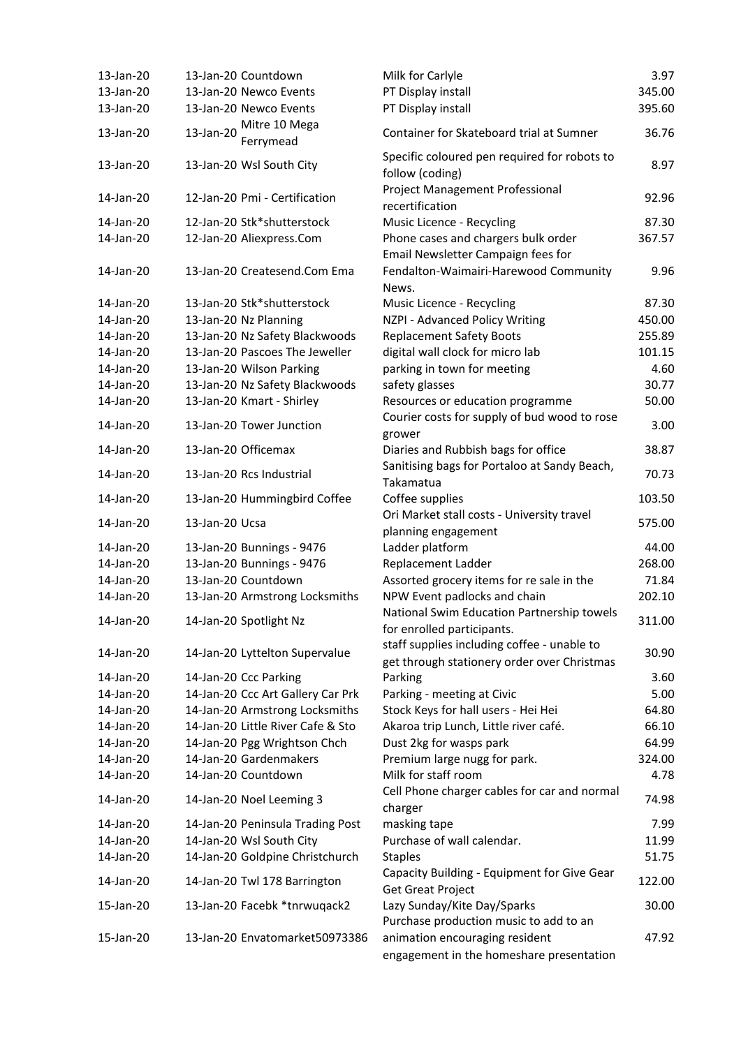| 13-Jan-20 | 13-Jan-20 Countdown               | Milk for Carlyle                                                                           | 3.97   |
|-----------|-----------------------------------|--------------------------------------------------------------------------------------------|--------|
| 13-Jan-20 | 13-Jan-20 Newco Events            | PT Display install                                                                         | 345.00 |
| 13-Jan-20 | 13-Jan-20 Newco Events            | PT Display install                                                                         | 395.60 |
|           | Mitre 10 Mega                     |                                                                                            |        |
| 13-Jan-20 | 13-Jan-20<br>Ferrymead            | Container for Skateboard trial at Sumner                                                   | 36.76  |
| 13-Jan-20 | 13-Jan-20 Wsl South City          | Specific coloured pen required for robots to<br>follow (coding)                            | 8.97   |
| 14-Jan-20 | 12-Jan-20 Pmi - Certification     | <b>Project Management Professional</b><br>recertification                                  | 92.96  |
| 14-Jan-20 | 12-Jan-20 Stk*shutterstock        | Music Licence - Recycling                                                                  | 87.30  |
| 14-Jan-20 | 12-Jan-20 Aliexpress.Com          | Phone cases and chargers bulk order<br>Email Newsletter Campaign fees for                  | 367.57 |
| 14-Jan-20 | 13-Jan-20 Createsend.Com Ema      | Fendalton-Waimairi-Harewood Community<br>News.                                             | 9.96   |
| 14-Jan-20 | 13-Jan-20 Stk*shutterstock        | Music Licence - Recycling                                                                  | 87.30  |
| 14-Jan-20 | 13-Jan-20 Nz Planning             | NZPI - Advanced Policy Writing                                                             | 450.00 |
| 14-Jan-20 | 13-Jan-20 Nz Safety Blackwoods    | <b>Replacement Safety Boots</b>                                                            | 255.89 |
| 14-Jan-20 | 13-Jan-20 Pascoes The Jeweller    | digital wall clock for micro lab                                                           | 101.15 |
| 14-Jan-20 | 13-Jan-20 Wilson Parking          | parking in town for meeting                                                                | 4.60   |
| 14-Jan-20 | 13-Jan-20 Nz Safety Blackwoods    | safety glasses                                                                             | 30.77  |
| 14-Jan-20 | 13-Jan-20 Kmart - Shirley         | Resources or education programme                                                           | 50.00  |
| 14-Jan-20 | 13-Jan-20 Tower Junction          | Courier costs for supply of bud wood to rose<br>grower                                     | 3.00   |
| 14-Jan-20 | 13-Jan-20 Officemax               | Diaries and Rubbish bags for office                                                        | 38.87  |
| 14-Jan-20 | 13-Jan-20 Rcs Industrial          | Sanitising bags for Portaloo at Sandy Beach,<br>Takamatua                                  | 70.73  |
| 14-Jan-20 | 13-Jan-20 Hummingbird Coffee      | Coffee supplies                                                                            | 103.50 |
| 14-Jan-20 | 13-Jan-20 Ucsa                    | Ori Market stall costs - University travel<br>planning engagement                          | 575.00 |
| 14-Jan-20 | 13-Jan-20 Bunnings - 9476         | Ladder platform                                                                            | 44.00  |
| 14-Jan-20 | 13-Jan-20 Bunnings - 9476         | Replacement Ladder                                                                         | 268.00 |
| 14-Jan-20 | 13-Jan-20 Countdown               | Assorted grocery items for re sale in the                                                  | 71.84  |
| 14-Jan-20 | 13-Jan-20 Armstrong Locksmiths    | NPW Event padlocks and chain                                                               | 202.10 |
|           |                                   | National Swim Education Partnership towels                                                 |        |
| 14-Jan-20 | 14-Jan-20 Spotlight Nz            | for enrolled participants.                                                                 | 311.00 |
| 14-Jan-20 | 14-Jan-20 Lyttelton Supervalue    | staff supplies including coffee - unable to<br>get through stationery order over Christmas | 30.90  |
| 14-Jan-20 | 14-Jan-20 Ccc Parking             | Parking                                                                                    | 3.60   |
| 14-Jan-20 | 14-Jan-20 Ccc Art Gallery Car Prk | Parking - meeting at Civic                                                                 | 5.00   |
| 14-Jan-20 | 14-Jan-20 Armstrong Locksmiths    | Stock Keys for hall users - Hei Hei                                                        | 64.80  |
| 14-Jan-20 | 14-Jan-20 Little River Cafe & Sto | Akaroa trip Lunch, Little river café.                                                      | 66.10  |
| 14-Jan-20 | 14-Jan-20 Pgg Wrightson Chch      | Dust 2kg for wasps park                                                                    | 64.99  |
| 14-Jan-20 | 14-Jan-20 Gardenmakers            | Premium large nugg for park.                                                               | 324.00 |
| 14-Jan-20 | 14-Jan-20 Countdown               | Milk for staff room                                                                        | 4.78   |
| 14-Jan-20 | 14-Jan-20 Noel Leeming 3          | Cell Phone charger cables for car and normal<br>charger                                    | 74.98  |
| 14-Jan-20 | 14-Jan-20 Peninsula Trading Post  | masking tape                                                                               | 7.99   |
| 14-Jan-20 | 14-Jan-20 Wsl South City          | Purchase of wall calendar.                                                                 | 11.99  |
| 14-Jan-20 | 14-Jan-20 Goldpine Christchurch   | <b>Staples</b>                                                                             | 51.75  |
| 14-Jan-20 | 14-Jan-20 Twl 178 Barrington      | Capacity Building - Equipment for Give Gear                                                | 122.00 |
| 15-Jan-20 | 13-Jan-20 Facebk *tnrwuqack2      | <b>Get Great Project</b><br>Lazy Sunday/Kite Day/Sparks                                    | 30.00  |
|           |                                   | Purchase production music to add to an                                                     |        |
| 15-Jan-20 | 13-Jan-20 Envatomarket50973386    | animation encouraging resident<br>engagement in the homeshare presentation                 | 47.92  |
|           |                                   |                                                                                            |        |

9.96

3.00

122.00

47.92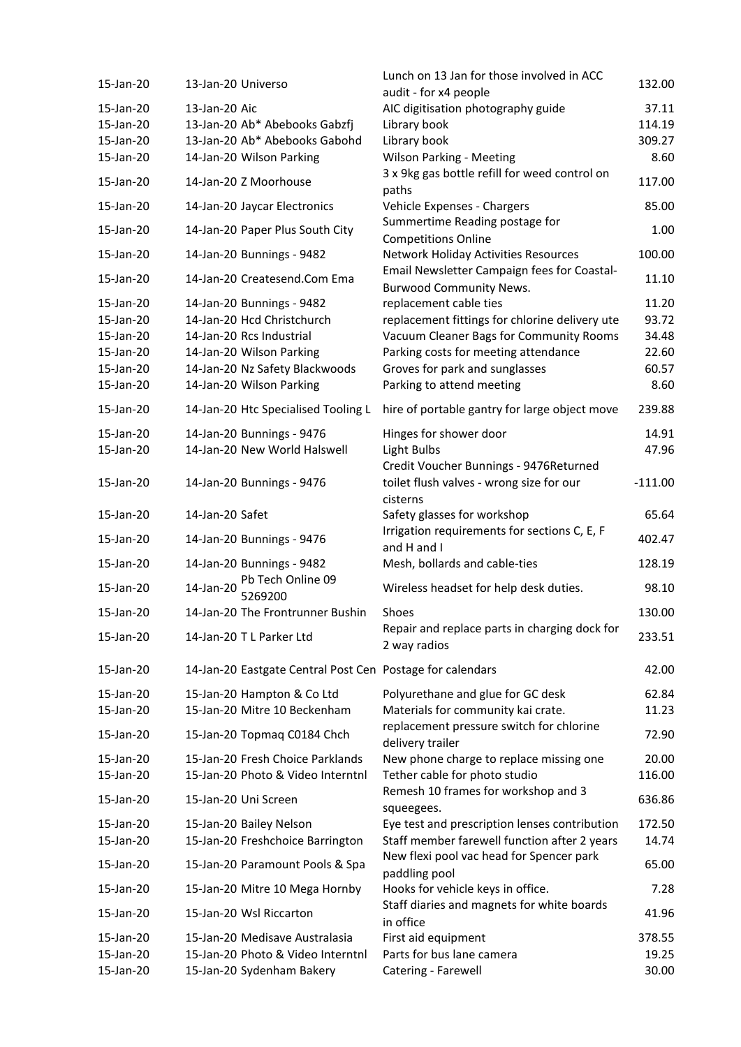| 15-Jan-20 | 13-Jan-20 Universo                                        | Lunch on 13 Jan for those involved in ACC<br>audit - for x4 people                             | 132.00    |
|-----------|-----------------------------------------------------------|------------------------------------------------------------------------------------------------|-----------|
| 15-Jan-20 | 13-Jan-20 Aic                                             | AIC digitisation photography guide                                                             | 37.11     |
| 15-Jan-20 | 13-Jan-20 Ab* Abebooks Gabzfj                             | Library book                                                                                   | 114.19    |
| 15-Jan-20 | 13-Jan-20 Ab* Abebooks Gabohd                             | Library book                                                                                   | 309.27    |
| 15-Jan-20 | 14-Jan-20 Wilson Parking                                  | <b>Wilson Parking - Meeting</b>                                                                | 8.60      |
| 15-Jan-20 | 14-Jan-20 Z Moorhouse                                     | 3 x 9kg gas bottle refill for weed control on<br>paths                                         | 117.00    |
| 15-Jan-20 | 14-Jan-20 Jaycar Electronics                              | Vehicle Expenses - Chargers                                                                    | 85.00     |
| 15-Jan-20 | 14-Jan-20 Paper Plus South City                           | Summertime Reading postage for<br><b>Competitions Online</b>                                   | 1.00      |
| 15-Jan-20 | 14-Jan-20 Bunnings - 9482                                 | <b>Network Holiday Activities Resources</b>                                                    | 100.00    |
| 15-Jan-20 | 14-Jan-20 Createsend.Com Ema                              | Email Newsletter Campaign fees for Coastal-<br><b>Burwood Community News.</b>                  | 11.10     |
| 15-Jan-20 | 14-Jan-20 Bunnings - 9482                                 | replacement cable ties                                                                         | 11.20     |
| 15-Jan-20 | 14-Jan-20 Hcd Christchurch                                | replacement fittings for chlorine delivery ute                                                 | 93.72     |
| 15-Jan-20 | 14-Jan-20 Rcs Industrial                                  | Vacuum Cleaner Bags for Community Rooms                                                        | 34.48     |
| 15-Jan-20 | 14-Jan-20 Wilson Parking                                  | Parking costs for meeting attendance                                                           | 22.60     |
|           | 14-Jan-20 Nz Safety Blackwoods                            |                                                                                                |           |
| 15-Jan-20 |                                                           | Groves for park and sunglasses                                                                 | 60.57     |
| 15-Jan-20 | 14-Jan-20 Wilson Parking                                  | Parking to attend meeting                                                                      | 8.60      |
| 15-Jan-20 | 14-Jan-20 Htc Specialised Tooling L                       | hire of portable gantry for large object move                                                  | 239.88    |
| 15-Jan-20 | 14-Jan-20 Bunnings - 9476                                 | Hinges for shower door                                                                         | 14.91     |
| 15-Jan-20 | 14-Jan-20 New World Halswell                              | Light Bulbs                                                                                    | 47.96     |
| 15-Jan-20 | 14-Jan-20 Bunnings - 9476                                 | Credit Voucher Bunnings - 9476Returned<br>toilet flush valves - wrong size for our<br>cisterns | $-111.00$ |
| 15-Jan-20 | 14-Jan-20 Safet                                           | Safety glasses for workshop                                                                    | 65.64     |
| 15-Jan-20 | 14-Jan-20 Bunnings - 9476                                 | Irrigation requirements for sections C, E, F<br>and H and I                                    | 402.47    |
| 15-Jan-20 | 14-Jan-20 Bunnings - 9482                                 | Mesh, bollards and cable-ties                                                                  | 128.19    |
| 15-Jan-20 | Pb Tech Online 09<br>14-Jan-20<br>5269200                 | Wireless headset for help desk duties.                                                         | 98.10     |
| 15-Jan-20 | 14-Jan-20 The Frontrunner Bushin                          | Shoes                                                                                          | 130.00    |
| 15-Jan-20 | 14-Jan-20 T L Parker Ltd                                  | Repair and replace parts in charging dock for<br>2 way radios                                  | 233.51    |
| 15-Jan-20 | 14-Jan-20 Eastgate Central Post Cen Postage for calendars |                                                                                                | 42.00     |
| 15-Jan-20 | 15-Jan-20 Hampton & Co Ltd                                | Polyurethane and glue for GC desk                                                              | 62.84     |
| 15-Jan-20 | 15-Jan-20 Mitre 10 Beckenham                              | Materials for community kai crate.                                                             | 11.23     |
| 15-Jan-20 | 15-Jan-20 Topmaq C0184 Chch                               | replacement pressure switch for chlorine<br>delivery trailer                                   | 72.90     |
| 15-Jan-20 | 15-Jan-20 Fresh Choice Parklands                          | New phone charge to replace missing one                                                        | 20.00     |
| 15-Jan-20 | 15-Jan-20 Photo & Video Interntnl                         | Tether cable for photo studio                                                                  | 116.00    |
| 15-Jan-20 | 15-Jan-20 Uni Screen                                      | Remesh 10 frames for workshop and 3<br>squeegees.                                              | 636.86    |
| 15-Jan-20 | 15-Jan-20 Bailey Nelson                                   | Eye test and prescription lenses contribution                                                  | 172.50    |
| 15-Jan-20 | 15-Jan-20 Freshchoice Barrington                          | Staff member farewell function after 2 years                                                   | 14.74     |
| 15-Jan-20 | 15-Jan-20 Paramount Pools & Spa                           | New flexi pool vac head for Spencer park                                                       | 65.00     |
| 15-Jan-20 | 15-Jan-20 Mitre 10 Mega Hornby                            | paddling pool<br>Hooks for vehicle keys in office.                                             | 7.28      |
| 15-Jan-20 | 15-Jan-20 Wsl Riccarton                                   | Staff diaries and magnets for white boards<br>in office                                        | 41.96     |
| 15-Jan-20 | 15-Jan-20 Medisave Australasia                            | First aid equipment                                                                            | 378.55    |
| 15-Jan-20 | 15-Jan-20 Photo & Video Interntnl                         | Parts for bus lane camera                                                                      | 19.25     |
|           |                                                           |                                                                                                |           |
| 15-Jan-20 | 15-Jan-20 Sydenham Bakery                                 | Catering - Farewell                                                                            | 30.00     |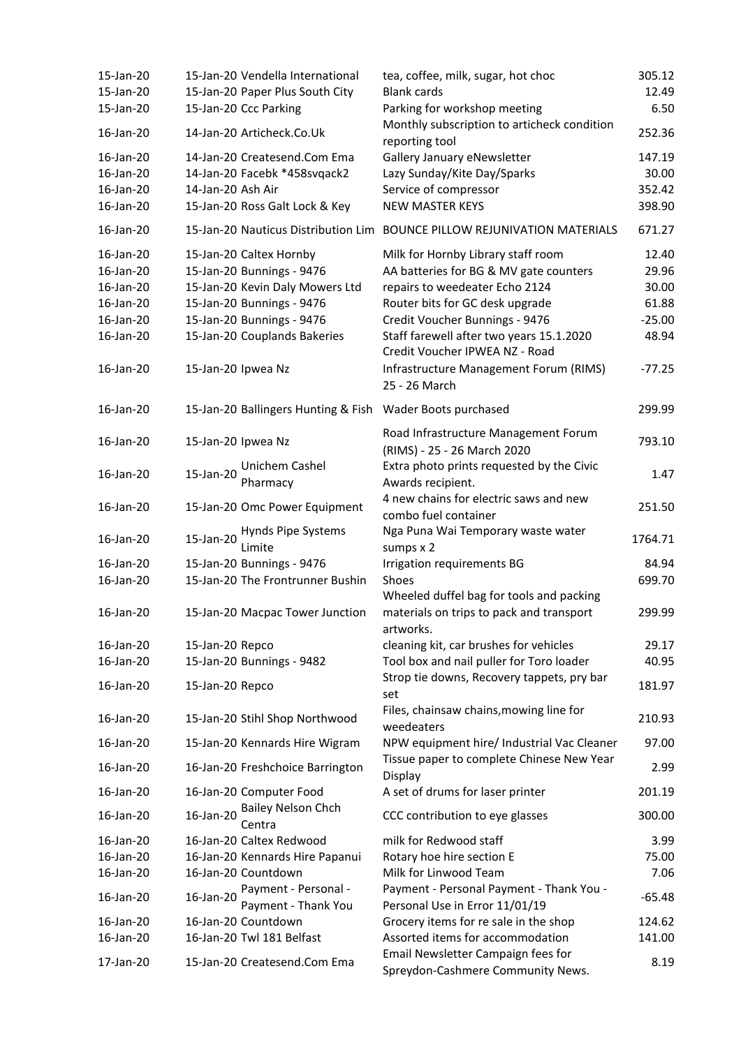| 15-Jan-20 |                    | 15-Jan-20 Vendella International            | tea, coffee, milk, sugar, hot choc                                                                | 305.12   |
|-----------|--------------------|---------------------------------------------|---------------------------------------------------------------------------------------------------|----------|
| 15-Jan-20 |                    | 15-Jan-20 Paper Plus South City             | <b>Blank cards</b>                                                                                | 12.49    |
| 15-Jan-20 |                    | 15-Jan-20 Ccc Parking                       | Parking for workshop meeting<br>Monthly subscription to articheck condition                       | 6.50     |
| 16-Jan-20 |                    | 14-Jan-20 Articheck.Co.Uk                   | reporting tool                                                                                    | 252.36   |
| 16-Jan-20 |                    | 14-Jan-20 Createsend.Com Ema                | Gallery January eNewsletter                                                                       | 147.19   |
| 16-Jan-20 |                    | 14-Jan-20 Facebk *458svqack2                | Lazy Sunday/Kite Day/Sparks                                                                       | 30.00    |
| 16-Jan-20 | 14-Jan-20 Ash Air  |                                             | Service of compressor                                                                             | 352.42   |
| 16-Jan-20 |                    | 15-Jan-20 Ross Galt Lock & Key              | <b>NEW MASTER KEYS</b>                                                                            | 398.90   |
| 16-Jan-20 |                    | 15-Jan-20 Nauticus Distribution Lim         | <b>BOUNCE PILLOW REJUNIVATION MATERIALS</b>                                                       | 671.27   |
| 16-Jan-20 |                    | 15-Jan-20 Caltex Hornby                     | Milk for Hornby Library staff room                                                                | 12.40    |
| 16-Jan-20 |                    | 15-Jan-20 Bunnings - 9476                   | AA batteries for BG & MV gate counters                                                            | 29.96    |
| 16-Jan-20 |                    | 15-Jan-20 Kevin Daly Mowers Ltd             | repairs to weedeater Echo 2124                                                                    | 30.00    |
| 16-Jan-20 |                    | 15-Jan-20 Bunnings - 9476                   | Router bits for GC desk upgrade                                                                   | 61.88    |
| 16-Jan-20 |                    | 15-Jan-20 Bunnings - 9476                   | Credit Voucher Bunnings - 9476                                                                    | $-25.00$ |
| 16-Jan-20 |                    | 15-Jan-20 Couplands Bakeries                | Staff farewell after two years 15.1.2020<br>Credit Voucher IPWEA NZ - Road                        | 48.94    |
| 16-Jan-20 | 15-Jan-20 Ipwea Nz |                                             | Infrastructure Management Forum (RIMS)<br>25 - 26 March                                           | $-77.25$ |
| 16-Jan-20 |                    | 15-Jan-20 Ballingers Hunting & Fish         | Wader Boots purchased                                                                             | 299.99   |
| 16-Jan-20 | 15-Jan-20 Ipwea Nz |                                             | Road Infrastructure Management Forum<br>(RIMS) - 25 - 26 March 2020                               | 793.10   |
| 16-Jan-20 | 15-Jan-20          | Unichem Cashel                              | Extra photo prints requested by the Civic                                                         | 1.47     |
|           |                    | Pharmacy                                    | Awards recipient.                                                                                 |          |
| 16-Jan-20 |                    | 15-Jan-20 Omc Power Equipment               | 4 new chains for electric saws and new<br>combo fuel container                                    | 251.50   |
| 16-Jan-20 | 15-Jan-20          | Hynds Pipe Systems<br>Limite                | Nga Puna Wai Temporary waste water<br>sumps x 2                                                   | 1764.71  |
| 16-Jan-20 |                    | 15-Jan-20 Bunnings - 9476                   | Irrigation requirements BG                                                                        | 84.94    |
| 16-Jan-20 |                    | 15-Jan-20 The Frontrunner Bushin            | Shoes                                                                                             | 699.70   |
| 16-Jan-20 |                    | 15-Jan-20 Macpac Tower Junction             | Wheeled duffel bag for tools and packing<br>materials on trips to pack and transport<br>artworks. | 299.99   |
| 16-Jan-20 | 15-Jan-20 Repco    |                                             | cleaning kit, car brushes for vehicles                                                            | 29.17    |
| 16-Jan-20 |                    | 15-Jan-20 Bunnings - 9482                   | Tool box and nail puller for Toro loader                                                          | 40.95    |
| 16-Jan-20 | 15-Jan-20 Repco    |                                             | Strop tie downs, Recovery tappets, pry bar<br>set                                                 | 181.97   |
| 16-Jan-20 |                    | 15-Jan-20 Stihl Shop Northwood              | Files, chainsaw chains, mowing line for<br>weedeaters                                             | 210.93   |
| 16-Jan-20 |                    | 15-Jan-20 Kennards Hire Wigram              | NPW equipment hire/ Industrial Vac Cleaner                                                        | 97.00    |
| 16-Jan-20 |                    | 16-Jan-20 Freshchoice Barrington            | Tissue paper to complete Chinese New Year<br>Display                                              | 2.99     |
| 16-Jan-20 |                    | 16-Jan-20 Computer Food                     | A set of drums for laser printer                                                                  | 201.19   |
| 16-Jan-20 | 16-Jan-20          | <b>Bailey Nelson Chch</b><br>Centra         | CCC contribution to eye glasses                                                                   | 300.00   |
| 16-Jan-20 |                    | 16-Jan-20 Caltex Redwood                    | milk for Redwood staff                                                                            | 3.99     |
| 16-Jan-20 |                    | 16-Jan-20 Kennards Hire Papanui             | Rotary hoe hire section E                                                                         | 75.00    |
| 16-Jan-20 |                    | 16-Jan-20 Countdown                         | Milk for Linwood Team                                                                             | 7.06     |
| 16-Jan-20 | 16-Jan-20          | Payment - Personal -<br>Payment - Thank You | Payment - Personal Payment - Thank You -<br>Personal Use in Error 11/01/19                        | $-65.48$ |
| 16-Jan-20 |                    | 16-Jan-20 Countdown                         | Grocery items for re sale in the shop                                                             | 124.62   |
| 16-Jan-20 |                    | 16-Jan-20 Twl 181 Belfast                   | Assorted items for accommodation                                                                  | 141.00   |
| 17-Jan-20 |                    | 15-Jan-20 Createsend.Com Ema                | Email Newsletter Campaign fees for<br>Spreydon-Cashmere Community News.                           | 8.19     |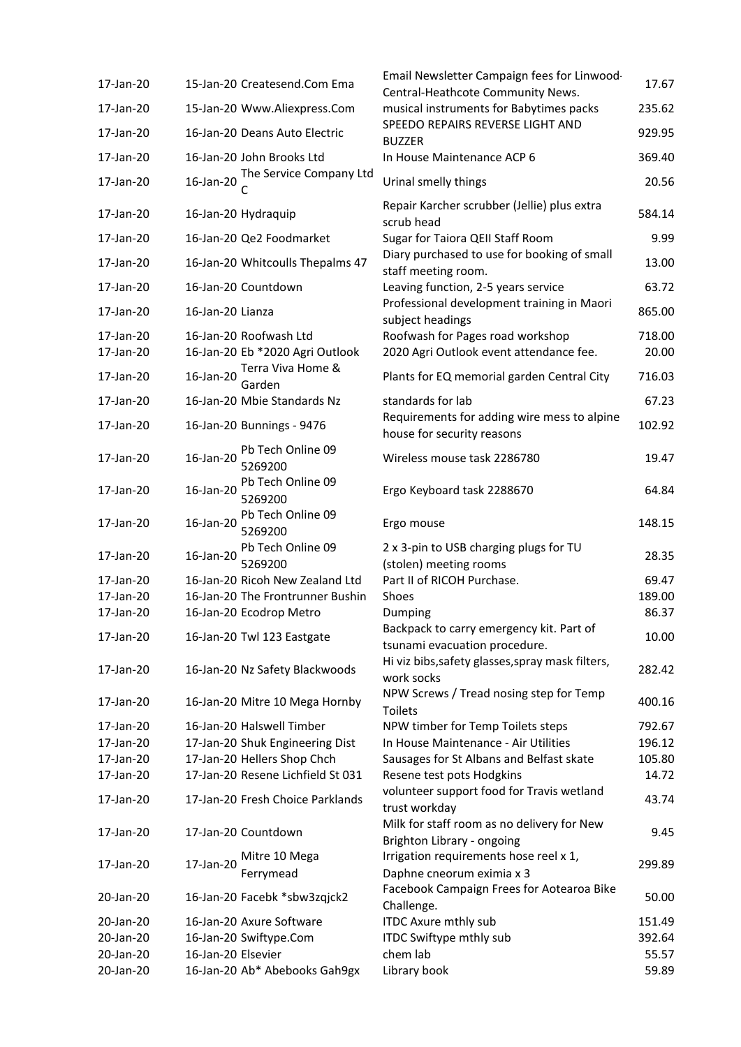|           |                    |                                       | Email Newsletter Campaign fees for Linwood-                               |        |
|-----------|--------------------|---------------------------------------|---------------------------------------------------------------------------|--------|
| 17-Jan-20 |                    | 15-Jan-20 Createsend.Com Ema          | Central-Heathcote Community News.                                         | 17.67  |
| 17-Jan-20 |                    | 15-Jan-20 Www.Aliexpress.Com          | musical instruments for Babytimes packs                                   | 235.62 |
| 17-Jan-20 |                    | 16-Jan-20 Deans Auto Electric         | SPEEDO REPAIRS REVERSE LIGHT AND<br><b>BUZZER</b>                         | 929.95 |
| 17-Jan-20 |                    | 16-Jan-20 John Brooks Ltd             | In House Maintenance ACP 6                                                | 369.40 |
| 17-Jan-20 | 16-Jan-20          | The Service Company Ltd               | Urinal smelly things                                                      | 20.56  |
| 17-Jan-20 |                    | 16-Jan-20 Hydraquip                   | Repair Karcher scrubber (Jellie) plus extra<br>scrub head                 | 584.14 |
| 17-Jan-20 |                    | 16-Jan-20 Qe2 Foodmarket              | Sugar for Taiora QEII Staff Room                                          | 9.99   |
| 17-Jan-20 |                    | 16-Jan-20 Whitcoulls Thepalms 47      | Diary purchased to use for booking of small<br>staff meeting room.        | 13.00  |
| 17-Jan-20 |                    | 16-Jan-20 Countdown                   | Leaving function, 2-5 years service                                       | 63.72  |
| 17-Jan-20 | 16-Jan-20 Lianza   |                                       | Professional development training in Maori<br>subject headings            | 865.00 |
| 17-Jan-20 |                    | 16-Jan-20 Roofwash Ltd                | Roofwash for Pages road workshop                                          | 718.00 |
| 17-Jan-20 |                    | 16-Jan-20 Eb *2020 Agri Outlook       | 2020 Agri Outlook event attendance fee.                                   | 20.00  |
| 17-Jan-20 | 16-Jan-20          | Terra Viva Home &                     | Plants for EQ memorial garden Central City                                | 716.03 |
| 17-Jan-20 |                    | Garden<br>16-Jan-20 Mbie Standards Nz | standards for lab                                                         | 67.23  |
| 17-Jan-20 |                    | 16-Jan-20 Bunnings - 9476             | Requirements for adding wire mess to alpine<br>house for security reasons | 102.92 |
| 17-Jan-20 | 16-Jan-20          | Pb Tech Online 09<br>5269200          | Wireless mouse task 2286780                                               | 19.47  |
| 17-Jan-20 | 16-Jan-20          | Pb Tech Online 09<br>5269200          | Ergo Keyboard task 2288670                                                | 64.84  |
| 17-Jan-20 | 16-Jan-20          | Pb Tech Online 09<br>5269200          | Ergo mouse                                                                | 148.15 |
| 17-Jan-20 | 16-Jan-20          | Pb Tech Online 09<br>5269200          | 2 x 3-pin to USB charging plugs for TU<br>(stolen) meeting rooms          | 28.35  |
| 17-Jan-20 |                    | 16-Jan-20 Ricoh New Zealand Ltd       | Part II of RICOH Purchase.                                                | 69.47  |
| 17-Jan-20 |                    | 16-Jan-20 The Frontrunner Bushin      | Shoes                                                                     | 189.00 |
| 17-Jan-20 |                    | 16-Jan-20 Ecodrop Metro               | Dumping                                                                   | 86.37  |
| 17-Jan-20 |                    | 16-Jan-20 Twl 123 Eastgate            | Backpack to carry emergency kit. Part of<br>tsunami evacuation procedure. | 10.00  |
| 17-Jan-20 |                    | 16-Jan-20 Nz Safety Blackwoods        | Hi viz bibs, safety glasses, spray mask filters,<br>work socks            | 282.42 |
| 17-Jan-20 |                    | 16-Jan-20 Mitre 10 Mega Hornby        | NPW Screws / Tread nosing step for Temp<br><b>Toilets</b>                 | 400.16 |
| 17-Jan-20 |                    | 16-Jan-20 Halswell Timber             | NPW timber for Temp Toilets steps                                         | 792.67 |
| 17-Jan-20 |                    | 17-Jan-20 Shuk Engineering Dist       | In House Maintenance - Air Utilities                                      | 196.12 |
| 17-Jan-20 |                    | 17-Jan-20 Hellers Shop Chch           | Sausages for St Albans and Belfast skate                                  | 105.80 |
| 17-Jan-20 |                    | 17-Jan-20 Resene Lichfield St 031     | Resene test pots Hodgkins                                                 | 14.72  |
| 17-Jan-20 |                    | 17-Jan-20 Fresh Choice Parklands      | volunteer support food for Travis wetland<br>trust workday                | 43.74  |
| 17-Jan-20 |                    | 17-Jan-20 Countdown                   | Milk for staff room as no delivery for New<br>Brighton Library - ongoing  | 9.45   |
| 17-Jan-20 | 17-Jan-20          | Mitre 10 Mega<br>Ferrymead            | Irrigation requirements hose reel x 1,<br>Daphne cneorum eximia x 3       | 299.89 |
| 20-Jan-20 |                    | 16-Jan-20 Facebk *sbw3zqjck2          | Facebook Campaign Frees for Aotearoa Bike<br>Challenge.                   | 50.00  |
| 20-Jan-20 |                    | 16-Jan-20 Axure Software              | <b>ITDC Axure mthly sub</b>                                               | 151.49 |
| 20-Jan-20 |                    | 16-Jan-20 Swiftype.Com                | <b>ITDC Swiftype mthly sub</b>                                            | 392.64 |
| 20-Jan-20 | 16-Jan-20 Elsevier |                                       | chem lab                                                                  | 55.57  |
| 20-Jan-20 |                    | 16-Jan-20 Ab* Abebooks Gah9gx         | Library book                                                              | 59.89  |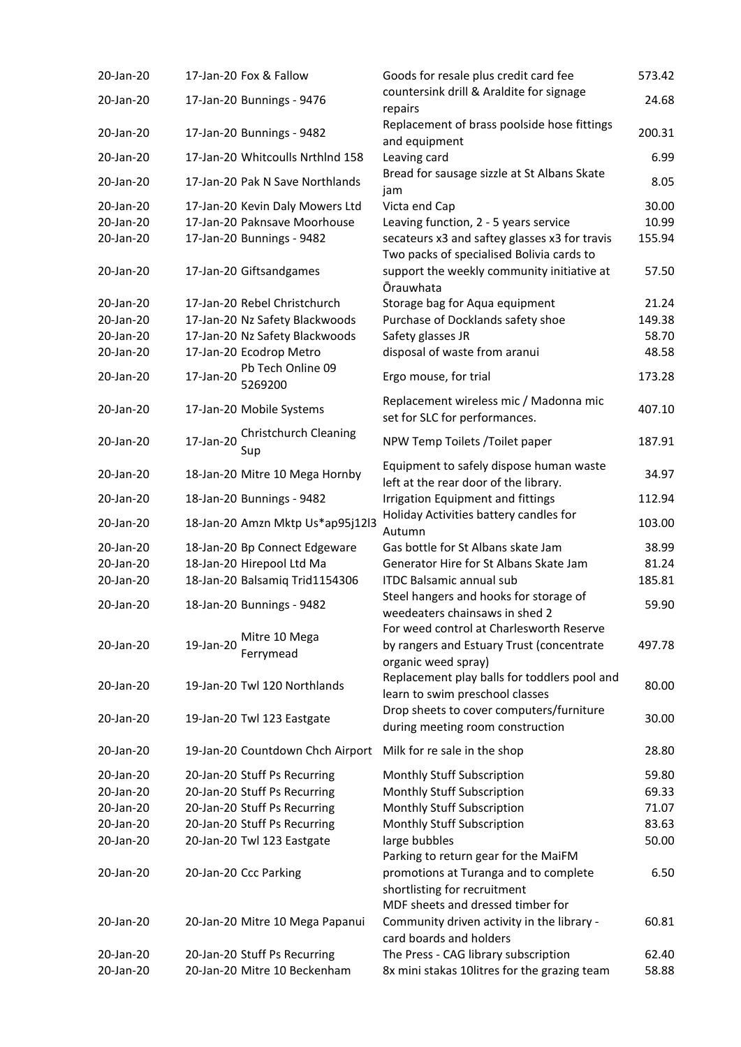| 20-Jan-20 | 17-Jan-20 Fox & Fallow                           | Goods for resale plus credit card fee                                                                        | 573.42 |
|-----------|--------------------------------------------------|--------------------------------------------------------------------------------------------------------------|--------|
| 20-Jan-20 | 17-Jan-20 Bunnings - 9476                        | countersink drill & Araldite for signage<br>repairs                                                          | 24.68  |
| 20-Jan-20 | 17-Jan-20 Bunnings - 9482                        | Replacement of brass poolside hose fittings<br>and equipment                                                 | 200.31 |
| 20-Jan-20 | 17-Jan-20 Whitcoulls Nrthlnd 158                 | Leaving card                                                                                                 | 6.99   |
| 20-Jan-20 | 17-Jan-20 Pak N Save Northlands                  | Bread for sausage sizzle at St Albans Skate<br>jam                                                           | 8.05   |
| 20-Jan-20 | 17-Jan-20 Kevin Daly Mowers Ltd                  | Victa end Cap                                                                                                | 30.00  |
| 20-Jan-20 | 17-Jan-20 Paknsave Moorhouse                     | Leaving function, 2 - 5 years service                                                                        | 10.99  |
| 20-Jan-20 | 17-Jan-20 Bunnings - 9482                        | secateurs x3 and saftey glasses x3 for travis<br>Two packs of specialised Bolivia cards to                   | 155.94 |
| 20-Jan-20 | 17-Jan-20 Giftsandgames                          | support the weekly community initiative at<br><b>Ōrauwhata</b>                                               | 57.50  |
| 20-Jan-20 | 17-Jan-20 Rebel Christchurch                     | Storage bag for Aqua equipment                                                                               | 21.24  |
| 20-Jan-20 | 17-Jan-20 Nz Safety Blackwoods                   | Purchase of Docklands safety shoe                                                                            | 149.38 |
| 20-Jan-20 | 17-Jan-20 Nz Safety Blackwoods                   | Safety glasses JR                                                                                            | 58.70  |
| 20-Jan-20 | 17-Jan-20 Ecodrop Metro                          | disposal of waste from aranui                                                                                | 48.58  |
| 20-Jan-20 | Pb Tech Online 09<br>17-Jan-20<br>5269200        | Ergo mouse, for trial                                                                                        | 173.28 |
| 20-Jan-20 | 17-Jan-20 Mobile Systems                         | Replacement wireless mic / Madonna mic<br>set for SLC for performances.                                      | 407.10 |
| 20-Jan-20 | <b>Christchurch Cleaning</b><br>17-Jan-20<br>Sup | NPW Temp Toilets / Toilet paper                                                                              | 187.91 |
| 20-Jan-20 | 18-Jan-20 Mitre 10 Mega Hornby                   | Equipment to safely dispose human waste                                                                      | 34.97  |
| 20-Jan-20 | 18-Jan-20 Bunnings - 9482                        | left at the rear door of the library.<br><b>Irrigation Equipment and fittings</b>                            | 112.94 |
| 20-Jan-20 | 18-Jan-20 Amzn Mktp Us*ap95j12l3                 | Holiday Activities battery candles for<br>Autumn                                                             | 103.00 |
| 20-Jan-20 | 18-Jan-20 Bp Connect Edgeware                    | Gas bottle for St Albans skate Jam                                                                           | 38.99  |
| 20-Jan-20 | 18-Jan-20 Hirepool Ltd Ma                        | Generator Hire for St Albans Skate Jam                                                                       | 81.24  |
| 20-Jan-20 | 18-Jan-20 Balsamig Trid1154306                   | <b>ITDC Balsamic annual sub</b>                                                                              | 185.81 |
| 20-Jan-20 | 18-Jan-20 Bunnings - 9482                        | Steel hangers and hooks for storage of<br>weedeaters chainsaws in shed 2                                     | 59.90  |
| 20-Jan-20 | Mitre 10 Mega<br>19-Jan-20<br>Ferrymead          | For weed control at Charlesworth Reserve<br>by rangers and Estuary Trust (concentrate<br>organic weed spray) | 497.78 |
| 20-Jan-20 | 19-Jan-20 Twl 120 Northlands                     | Replacement play balls for toddlers pool and<br>learn to swim preschool classes                              | 80.00  |
| 20-Jan-20 | 19-Jan-20 Twl 123 Eastgate                       | Drop sheets to cover computers/furniture<br>during meeting room construction                                 | 30.00  |
| 20-Jan-20 | 19-Jan-20 Countdown Chch Airport                 | Milk for re sale in the shop                                                                                 | 28.80  |
| 20-Jan-20 | 20-Jan-20 Stuff Ps Recurring                     | <b>Monthly Stuff Subscription</b>                                                                            | 59.80  |
| 20-Jan-20 | 20-Jan-20 Stuff Ps Recurring                     | <b>Monthly Stuff Subscription</b>                                                                            | 69.33  |
| 20-Jan-20 | 20-Jan-20 Stuff Ps Recurring                     | <b>Monthly Stuff Subscription</b>                                                                            | 71.07  |
| 20-Jan-20 | 20-Jan-20 Stuff Ps Recurring                     | <b>Monthly Stuff Subscription</b>                                                                            | 83.63  |
| 20-Jan-20 | 20-Jan-20 Twl 123 Eastgate                       | large bubbles                                                                                                | 50.00  |
|           |                                                  | Parking to return gear for the MaiFM                                                                         |        |
| 20-Jan-20 | 20-Jan-20 Ccc Parking                            | promotions at Turanga and to complete<br>shortlisting for recruitment<br>MDF sheets and dressed timber for   | 6.50   |
| 20-Jan-20 | 20-Jan-20 Mitre 10 Mega Papanui                  | Community driven activity in the library -<br>card boards and holders                                        | 60.81  |
| 20-Jan-20 | 20-Jan-20 Stuff Ps Recurring                     | The Press - CAG library subscription                                                                         | 62.40  |
| 20-Jan-20 | 20-Jan-20 Mitre 10 Beckenham                     | 8x mini stakas 10litres for the grazing team                                                                 | 58.88  |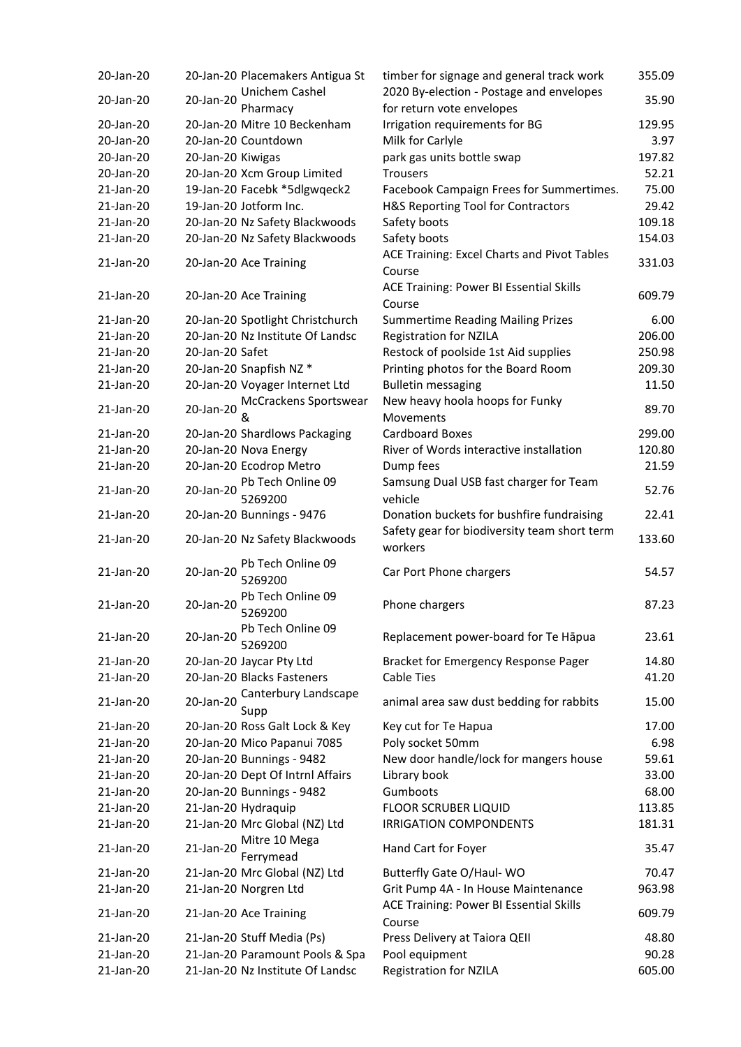| 20-Jan-20 |                   | 20-Jan-20 Placemakers Antigua St | timber for signage and general track work                | 355.09 |
|-----------|-------------------|----------------------------------|----------------------------------------------------------|--------|
| 20-Jan-20 | 20-Jan-20         | Unichem Cashel                   | 2020 By-election - Postage and envelopes                 | 35.90  |
|           |                   | Pharmacy                         | for return vote envelopes                                |        |
| 20-Jan-20 |                   | 20-Jan-20 Mitre 10 Beckenham     | Irrigation requirements for BG                           | 129.95 |
| 20-Jan-20 |                   | 20-Jan-20 Countdown              | Milk for Carlyle                                         | 3.97   |
| 20-Jan-20 | 20-Jan-20 Kiwigas |                                  | park gas units bottle swap                               | 197.82 |
| 20-Jan-20 |                   | 20-Jan-20 Xcm Group Limited      | <b>Trousers</b>                                          | 52.21  |
| 21-Jan-20 |                   | 19-Jan-20 Facebk *5dlgwqeck2     | Facebook Campaign Frees for Summertimes.                 | 75.00  |
| 21-Jan-20 |                   | 19-Jan-20 Jotform Inc.           | H&S Reporting Tool for Contractors                       | 29.42  |
| 21-Jan-20 |                   | 20-Jan-20 Nz Safety Blackwoods   | Safety boots                                             | 109.18 |
| 21-Jan-20 |                   | 20-Jan-20 Nz Safety Blackwoods   | Safety boots                                             | 154.03 |
| 21-Jan-20 |                   | 20-Jan-20 Ace Training           | ACE Training: Excel Charts and Pivot Tables              | 331.03 |
|           |                   |                                  | Course                                                   |        |
| 21-Jan-20 |                   | 20-Jan-20 Ace Training           | <b>ACE Training: Power BI Essential Skills</b><br>Course | 609.79 |
| 21-Jan-20 |                   | 20-Jan-20 Spotlight Christchurch | <b>Summertime Reading Mailing Prizes</b>                 | 6.00   |
| 21-Jan-20 |                   | 20-Jan-20 Nz Institute Of Landsc | <b>Registration for NZILA</b>                            | 206.00 |
| 21-Jan-20 | 20-Jan-20 Safet   |                                  | Restock of poolside 1st Aid supplies                     | 250.98 |
| 21-Jan-20 |                   | 20-Jan-20 Snapfish NZ *          | Printing photos for the Board Room                       | 209.30 |
| 21-Jan-20 |                   | 20-Jan-20 Voyager Internet Ltd   | <b>Bulletin messaging</b>                                | 11.50  |
|           |                   | McCrackens Sportswear            | New heavy hoola hoops for Funky                          |        |
| 21-Jan-20 | 20-Jan-20         | &                                | Movements                                                | 89.70  |
| 21-Jan-20 |                   | 20-Jan-20 Shardlows Packaging    | <b>Cardboard Boxes</b>                                   | 299.00 |
| 21-Jan-20 |                   | 20-Jan-20 Nova Energy            | River of Words interactive installation                  | 120.80 |
| 21-Jan-20 |                   | 20-Jan-20 Ecodrop Metro          | Dump fees                                                | 21.59  |
|           |                   | Pb Tech Online 09                |                                                          |        |
| 21-Jan-20 | 20-Jan-20         | 5269200                          | Samsung Dual USB fast charger for Team<br>vehicle        | 52.76  |
| 21-Jan-20 |                   | 20-Jan-20 Bunnings - 9476        | Donation buckets for bushfire fundraising                | 22.41  |
|           |                   |                                  | Safety gear for biodiversity team short term             |        |
| 21-Jan-20 |                   | 20-Jan-20 Nz Safety Blackwoods   | workers                                                  | 133.60 |
|           |                   | Pb Tech Online 09                |                                                          |        |
| 21-Jan-20 | 20-Jan-20         | 5269200                          | Car Port Phone chargers                                  | 54.57  |
|           |                   | Pb Tech Online 09                |                                                          |        |
| 21-Jan-20 | 20-Jan-20         | 5269200                          | Phone chargers                                           | 87.23  |
|           |                   | Pb Tech Online 09                |                                                          |        |
| 21-Jan-20 | 20-Jan-20         | 5269200                          | Replacement power-board for Te Hapua                     | 23.61  |
| 21-Jan-20 |                   | 20-Jan-20 Jaycar Pty Ltd         | <b>Bracket for Emergency Response Pager</b>              | 14.80  |
| 21-Jan-20 |                   | 20-Jan-20 Blacks Fasteners       | <b>Cable Ties</b>                                        | 41.20  |
|           |                   | Canterbury Landscape             |                                                          |        |
| 21-Jan-20 | 20-Jan-20         | Supp                             | animal area saw dust bedding for rabbits                 | 15.00  |
| 21-Jan-20 |                   | 20-Jan-20 Ross Galt Lock & Key   | Key cut for Te Hapua                                     | 17.00  |
| 21-Jan-20 |                   | 20-Jan-20 Mico Papanui 7085      | Poly socket 50mm                                         | 6.98   |
| 21-Jan-20 |                   | 20-Jan-20 Bunnings - 9482        | New door handle/lock for mangers house                   | 59.61  |
| 21-Jan-20 |                   | 20-Jan-20 Dept Of Intrnl Affairs | Library book                                             | 33.00  |
| 21-Jan-20 |                   | 20-Jan-20 Bunnings - 9482        | Gumboots                                                 | 68.00  |
| 21-Jan-20 |                   | 21-Jan-20 Hydraquip              | <b>FLOOR SCRUBER LIQUID</b>                              | 113.85 |
| 21-Jan-20 |                   | 21-Jan-20 Mrc Global (NZ) Ltd    | <b>IRRIGATION COMPONDENTS</b>                            | 181.31 |
|           |                   | Mitre 10 Mega                    |                                                          |        |
| 21-Jan-20 | 21-Jan-20         | Ferrymead                        | Hand Cart for Foyer                                      | 35.47  |
| 21-Jan-20 |                   | 21-Jan-20 Mrc Global (NZ) Ltd    | Butterfly Gate O/Haul- WO                                | 70.47  |
| 21-Jan-20 |                   | 21-Jan-20 Norgren Ltd            | Grit Pump 4A - In House Maintenance                      | 963.98 |
|           |                   |                                  | <b>ACE Training: Power BI Essential Skills</b>           |        |
| 21-Jan-20 |                   | 21-Jan-20 Ace Training           | Course                                                   | 609.79 |
| 21-Jan-20 |                   | 21-Jan-20 Stuff Media (Ps)       | Press Delivery at Taiora QEII                            | 48.80  |
| 21-Jan-20 |                   | 21-Jan-20 Paramount Pools & Spa  | Pool equipment                                           | 90.28  |
| 21-Jan-20 |                   | 21-Jan-20 Nz Institute Of Landsc | <b>Registration for NZILA</b>                            | 605.00 |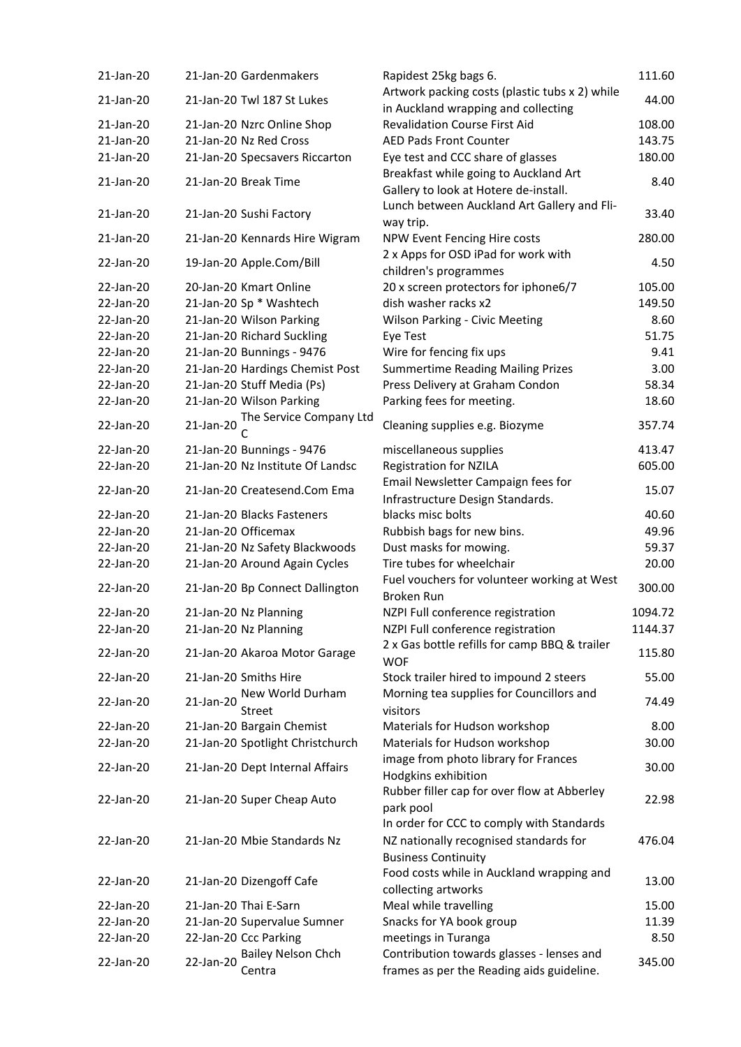| 21-Jan-20 |           | 21-Jan-20 Gardenmakers              | Rapidest 25kg bags 6.                                                                  | 111.60  |
|-----------|-----------|-------------------------------------|----------------------------------------------------------------------------------------|---------|
| 21-Jan-20 |           | 21-Jan-20 Twl 187 St Lukes          | Artwork packing costs (plastic tubs x 2) while<br>in Auckland wrapping and collecting  | 44.00   |
| 21-Jan-20 |           | 21-Jan-20 Nzrc Online Shop          | <b>Revalidation Course First Aid</b>                                                   | 108.00  |
| 21-Jan-20 |           | 21-Jan-20 Nz Red Cross              | <b>AED Pads Front Counter</b>                                                          | 143.75  |
| 21-Jan-20 |           | 21-Jan-20 Specsavers Riccarton      | Eye test and CCC share of glasses                                                      | 180.00  |
| 21-Jan-20 |           | 21-Jan-20 Break Time                | Breakfast while going to Auckland Art<br>Gallery to look at Hotere de-install.         | 8.40    |
| 21-Jan-20 |           | 21-Jan-20 Sushi Factory             | Lunch between Auckland Art Gallery and Fli-<br>way trip.                               | 33.40   |
| 21-Jan-20 |           | 21-Jan-20 Kennards Hire Wigram      | NPW Event Fencing Hire costs                                                           | 280.00  |
| 22-Jan-20 |           | 19-Jan-20 Apple.Com/Bill            | 2 x Apps for OSD iPad for work with<br>children's programmes                           | 4.50    |
| 22-Jan-20 |           | 20-Jan-20 Kmart Online              | 20 x screen protectors for iphone6/7                                                   | 105.00  |
| 22-Jan-20 |           | 21-Jan-20 Sp * Washtech             | dish washer racks x2                                                                   | 149.50  |
| 22-Jan-20 |           | 21-Jan-20 Wilson Parking            | <b>Wilson Parking - Civic Meeting</b>                                                  | 8.60    |
| 22-Jan-20 |           | 21-Jan-20 Richard Suckling          | Eye Test                                                                               | 51.75   |
| 22-Jan-20 |           | 21-Jan-20 Bunnings - 9476           | Wire for fencing fix ups                                                               | 9.41    |
| 22-Jan-20 |           | 21-Jan-20 Hardings Chemist Post     | <b>Summertime Reading Mailing Prizes</b>                                               | 3.00    |
| 22-Jan-20 |           | 21-Jan-20 Stuff Media (Ps)          | Press Delivery at Graham Condon                                                        | 58.34   |
| 22-Jan-20 |           | 21-Jan-20 Wilson Parking            | Parking fees for meeting.                                                              | 18.60   |
| 22-Jan-20 | 21-Jan-20 | The Service Company Ltd             | Cleaning supplies e.g. Biozyme                                                         | 357.74  |
|           |           |                                     |                                                                                        |         |
| 22-Jan-20 |           | 21-Jan-20 Bunnings - 9476           | miscellaneous supplies                                                                 | 413.47  |
| 22-Jan-20 |           | 21-Jan-20 Nz Institute Of Landsc    | <b>Registration for NZILA</b>                                                          | 605.00  |
| 22-Jan-20 |           | 21-Jan-20 Createsend.Com Ema        | Email Newsletter Campaign fees for<br>Infrastructure Design Standards.                 | 15.07   |
| 22-Jan-20 |           | 21-Jan-20 Blacks Fasteners          | blacks misc bolts                                                                      | 40.60   |
| 22-Jan-20 |           | 21-Jan-20 Officemax                 | Rubbish bags for new bins.                                                             | 49.96   |
| 22-Jan-20 |           | 21-Jan-20 Nz Safety Blackwoods      | Dust masks for mowing.                                                                 | 59.37   |
| 22-Jan-20 |           | 21-Jan-20 Around Again Cycles       | Tire tubes for wheelchair                                                              | 20.00   |
|           |           |                                     | Fuel vouchers for volunteer working at West                                            |         |
| 22-Jan-20 |           | 21-Jan-20 Bp Connect Dallington     | Broken Run                                                                             | 300.00  |
| 22-Jan-20 |           | 21-Jan-20 Nz Planning               | NZPI Full conference registration                                                      | 1094.72 |
| 22-Jan-20 |           | 21-Jan-20 Nz Planning               | NZPI Full conference registration                                                      | 1144.37 |
| 22-Jan-20 |           | 21-Jan-20 Akaroa Motor Garage       | 2 x Gas bottle refills for camp BBQ & trailer<br><b>WOF</b>                            | 115.80  |
| 22-Jan-20 |           | 21-Jan-20 Smiths Hire               | Stock trailer hired to impound 2 steers                                                | 55.00   |
|           |           | New World Durham                    | Morning tea supplies for Councillors and                                               |         |
| 22-Jan-20 | 21-Jan-20 | <b>Street</b>                       | visitors                                                                               | 74.49   |
| 22-Jan-20 |           | 21-Jan-20 Bargain Chemist           | Materials for Hudson workshop                                                          | 8.00    |
| 22-Jan-20 |           | 21-Jan-20 Spotlight Christchurch    | Materials for Hudson workshop                                                          | 30.00   |
| 22-Jan-20 |           | 21-Jan-20 Dept Internal Affairs     | image from photo library for Frances<br>Hodgkins exhibition                            | 30.00   |
| 22-Jan-20 |           | 21-Jan-20 Super Cheap Auto          | Rubber filler cap for over flow at Abberley<br>park pool                               | 22.98   |
| 22-Jan-20 |           | 21-Jan-20 Mbie Standards Nz         | In order for CCC to comply with Standards<br>NZ nationally recognised standards for    | 476.04  |
| 22-Jan-20 |           | 21-Jan-20 Dizengoff Cafe            | <b>Business Continuity</b><br>Food costs while in Auckland wrapping and                | 13.00   |
| 22-Jan-20 |           | 21-Jan-20 Thai E-Sarn               | collecting artworks                                                                    |         |
|           |           |                                     | Meal while travelling                                                                  | 15.00   |
| 22-Jan-20 |           | 21-Jan-20 Supervalue Sumner         | Snacks for YA book group                                                               | 11.39   |
| 22-Jan-20 |           | 22-Jan-20 Ccc Parking               | meetings in Turanga                                                                    | 8.50    |
| 22-Jan-20 | 22-Jan-20 | <b>Bailey Nelson Chch</b><br>Centra | Contribution towards glasses - lenses and<br>frames as per the Reading aids guideline. | 345.00  |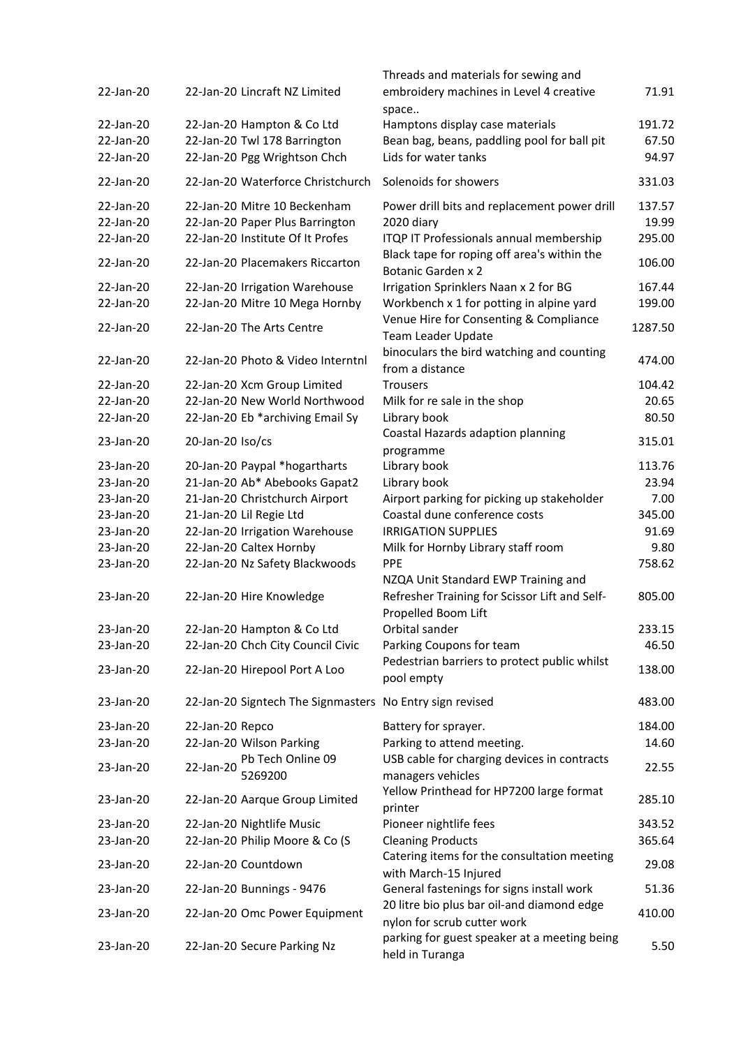| 22-Jan-20 |                     | 22-Jan-20 Lincraft NZ Limited                            | Threads and materials for sewing and<br>embroidery machines in Level 4 creative<br>space | 71.91   |
|-----------|---------------------|----------------------------------------------------------|------------------------------------------------------------------------------------------|---------|
| 22-Jan-20 |                     | 22-Jan-20 Hampton & Co Ltd                               | Hamptons display case materials                                                          | 191.72  |
| 22-Jan-20 |                     | 22-Jan-20 Twl 178 Barrington                             | Bean bag, beans, paddling pool for ball pit                                              | 67.50   |
| 22-Jan-20 |                     | 22-Jan-20 Pgg Wrightson Chch                             | Lids for water tanks                                                                     | 94.97   |
| 22-Jan-20 |                     | 22-Jan-20 Waterforce Christchurch                        | Solenoids for showers                                                                    | 331.03  |
| 22-Jan-20 |                     | 22-Jan-20 Mitre 10 Beckenham                             | Power drill bits and replacement power drill                                             | 137.57  |
| 22-Jan-20 |                     | 22-Jan-20 Paper Plus Barrington                          | 2020 diary                                                                               | 19.99   |
| 22-Jan-20 |                     | 22-Jan-20 Institute Of It Profes                         | ITQP IT Professionals annual membership                                                  | 295.00  |
| 22-Jan-20 |                     | 22-Jan-20 Placemakers Riccarton                          | Black tape for roping off area's within the<br><b>Botanic Garden x 2</b>                 | 106.00  |
| 22-Jan-20 |                     | 22-Jan-20 Irrigation Warehouse                           | Irrigation Sprinklers Naan x 2 for BG                                                    | 167.44  |
| 22-Jan-20 |                     | 22-Jan-20 Mitre 10 Mega Hornby                           | Workbench x 1 for potting in alpine yard                                                 | 199.00  |
| 22-Jan-20 |                     | 22-Jan-20 The Arts Centre                                | Venue Hire for Consenting & Compliance<br>Team Leader Update                             | 1287.50 |
| 22-Jan-20 |                     | 22-Jan-20 Photo & Video Interntnl                        | binoculars the bird watching and counting<br>from a distance                             | 474.00  |
| 22-Jan-20 |                     | 22-Jan-20 Xcm Group Limited                              | <b>Trousers</b>                                                                          | 104.42  |
| 22-Jan-20 |                     | 22-Jan-20 New World Northwood                            | Milk for re sale in the shop                                                             | 20.65   |
| 22-Jan-20 |                     | 22-Jan-20 Eb *archiving Email Sy                         | Library book                                                                             | 80.50   |
| 23-Jan-20 | $20$ -Jan-20 Iso/cs |                                                          | Coastal Hazards adaption planning<br>programme                                           | 315.01  |
| 23-Jan-20 |                     | 20-Jan-20 Paypal *hogartharts                            | Library book                                                                             | 113.76  |
| 23-Jan-20 |                     | 21-Jan-20 Ab* Abebooks Gapat2                            | Library book                                                                             | 23.94   |
| 23-Jan-20 |                     | 21-Jan-20 Christchurch Airport                           | Airport parking for picking up stakeholder                                               | 7.00    |
| 23-Jan-20 |                     | 21-Jan-20 Lil Regie Ltd                                  | Coastal dune conference costs                                                            | 345.00  |
| 23-Jan-20 |                     | 22-Jan-20 Irrigation Warehouse                           | <b>IRRIGATION SUPPLIES</b>                                                               | 91.69   |
| 23-Jan-20 |                     | 22-Jan-20 Caltex Hornby                                  | Milk for Hornby Library staff room                                                       | 9.80    |
| 23-Jan-20 |                     | 22-Jan-20 Nz Safety Blackwoods                           | <b>PPE</b>                                                                               | 758.62  |
|           |                     |                                                          | NZQA Unit Standard EWP Training and                                                      |         |
| 23-Jan-20 |                     | 22-Jan-20 Hire Knowledge                                 | Refresher Training for Scissor Lift and Self-<br>Propelled Boom Lift                     | 805.00  |
| 23-Jan-20 |                     | 22-Jan-20 Hampton & Co Ltd                               | Orbital sander                                                                           | 233.15  |
| 23-Jan-20 |                     | 22-Jan-20 Chch City Council Civic                        | Parking Coupons for team                                                                 | 46.50   |
| 23-Jan-20 |                     | 22-Jan-20 Hirepool Port A Loo                            | Pedestrian barriers to protect public whilst                                             | 138.00  |
|           |                     |                                                          | pool empty                                                                               |         |
| 23-Jan-20 |                     | 22-Jan-20 Signtech The Signmasters No Entry sign revised |                                                                                          | 483.00  |
| 23-Jan-20 | 22-Jan-20 Repco     |                                                          | Battery for sprayer.                                                                     | 184.00  |
| 23-Jan-20 |                     | 22-Jan-20 Wilson Parking                                 | Parking to attend meeting.                                                               | 14.60   |
| 23-Jan-20 | 22-Jan-20           | Pb Tech Online 09<br>5269200                             | USB cable for charging devices in contracts<br>managers vehicles                         | 22.55   |
| 23-Jan-20 |                     | 22-Jan-20 Aarque Group Limited                           | Yellow Printhead for HP7200 large format<br>printer                                      | 285.10  |
| 23-Jan-20 |                     | 22-Jan-20 Nightlife Music                                | Pioneer nightlife fees                                                                   | 343.52  |
| 23-Jan-20 |                     | 22-Jan-20 Philip Moore & Co (S                           | <b>Cleaning Products</b>                                                                 | 365.64  |
| 23-Jan-20 |                     | 22-Jan-20 Countdown                                      | Catering items for the consultation meeting<br>with March-15 Injured                     | 29.08   |
| 23-Jan-20 |                     | 22-Jan-20 Bunnings - 9476                                | General fastenings for signs install work                                                | 51.36   |
| 23-Jan-20 |                     | 22-Jan-20 Omc Power Equipment                            | 20 litre bio plus bar oil-and diamond edge<br>nylon for scrub cutter work                | 410.00  |
| 23-Jan-20 |                     | 22-Jan-20 Secure Parking Nz                              | parking for guest speaker at a meeting being<br>held in Turanga                          | 5.50    |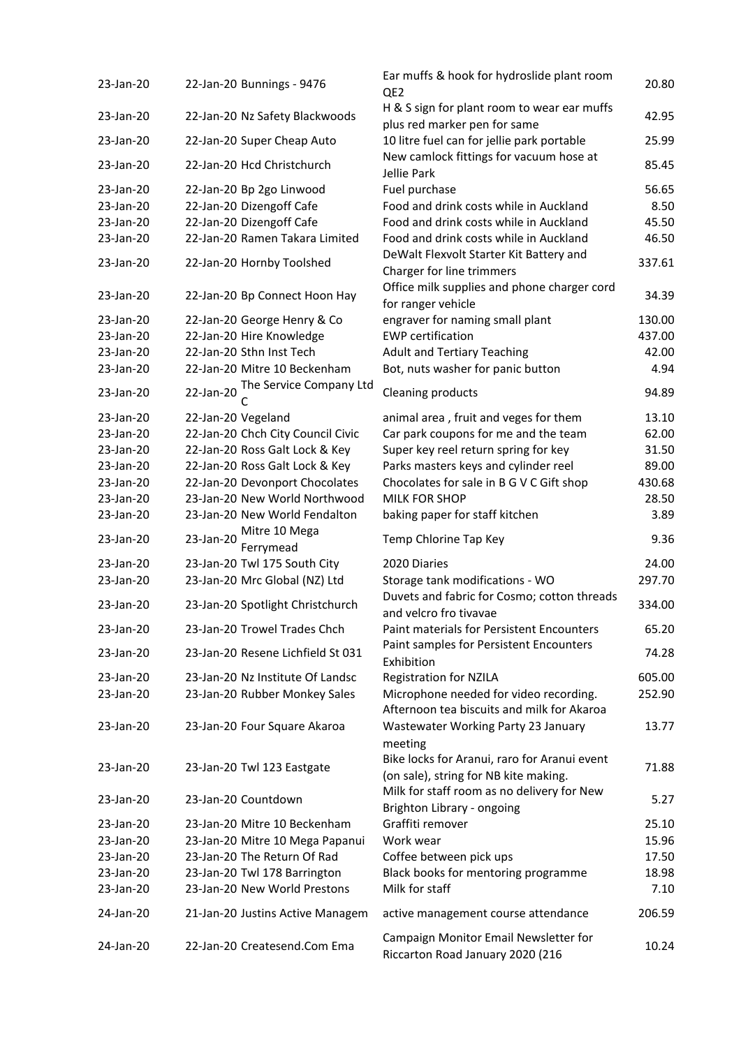| 23-Jan-20 | 22-Jan-20 Bunnings - 9476               | Ear muffs & hook for hydroslide plant room<br>QE <sub>2</sub>                                    | 20.80  |
|-----------|-----------------------------------------|--------------------------------------------------------------------------------------------------|--------|
| 23-Jan-20 | 22-Jan-20 Nz Safety Blackwoods          | H & S sign for plant room to wear ear muffs<br>plus red marker pen for same                      | 42.95  |
| 23-Jan-20 | 22-Jan-20 Super Cheap Auto              | 10 litre fuel can for jellie park portable                                                       | 25.99  |
| 23-Jan-20 | 22-Jan-20 Hcd Christchurch              | New camlock fittings for vacuum hose at<br>Jellie Park                                           | 85.45  |
| 23-Jan-20 | 22-Jan-20 Bp 2go Linwood                | Fuel purchase                                                                                    | 56.65  |
| 23-Jan-20 | 22-Jan-20 Dizengoff Cafe                | Food and drink costs while in Auckland                                                           | 8.50   |
| 23-Jan-20 | 22-Jan-20 Dizengoff Cafe                | Food and drink costs while in Auckland                                                           | 45.50  |
| 23-Jan-20 | 22-Jan-20 Ramen Takara Limited          | Food and drink costs while in Auckland                                                           | 46.50  |
| 23-Jan-20 | 22-Jan-20 Hornby Toolshed               | DeWalt Flexvolt Starter Kit Battery and<br>Charger for line trimmers                             | 337.61 |
|           |                                         | Office milk supplies and phone charger cord                                                      |        |
| 23-Jan-20 | 22-Jan-20 Bp Connect Hoon Hay           | for ranger vehicle                                                                               | 34.39  |
| 23-Jan-20 | 22-Jan-20 George Henry & Co             | engraver for naming small plant                                                                  | 130.00 |
| 23-Jan-20 | 22-Jan-20 Hire Knowledge                | <b>EWP</b> certification                                                                         | 437.00 |
| 23-Jan-20 | 22-Jan-20 Sthn Inst Tech                | <b>Adult and Tertiary Teaching</b>                                                               | 42.00  |
| 23-Jan-20 | 22-Jan-20 Mitre 10 Beckenham            | Bot, nuts washer for panic button                                                                | 4.94   |
| 23-Jan-20 | The Service Company Ltd<br>22-Jan-20    | Cleaning products                                                                                | 94.89  |
| 23-Jan-20 | 22-Jan-20 Vegeland                      | animal area, fruit and veges for them                                                            | 13.10  |
| 23-Jan-20 | 22-Jan-20 Chch City Council Civic       | Car park coupons for me and the team                                                             | 62.00  |
| 23-Jan-20 | 22-Jan-20 Ross Galt Lock & Key          | Super key reel return spring for key                                                             | 31.50  |
| 23-Jan-20 | 22-Jan-20 Ross Galt Lock & Key          | Parks masters keys and cylinder reel                                                             | 89.00  |
| 23-Jan-20 | 22-Jan-20 Devonport Chocolates          | Chocolates for sale in B G V C Gift shop                                                         | 430.68 |
| 23-Jan-20 | 23-Jan-20 New World Northwood           | <b>MILK FOR SHOP</b>                                                                             | 28.50  |
| 23-Jan-20 | 23-Jan-20 New World Fendalton           | baking paper for staff kitchen                                                                   | 3.89   |
| 23-Jan-20 | Mitre 10 Mega<br>23-Jan-20<br>Ferrymead | Temp Chlorine Tap Key                                                                            | 9.36   |
| 23-Jan-20 | 23-Jan-20 Twl 175 South City            | 2020 Diaries                                                                                     | 24.00  |
| 23-Jan-20 | 23-Jan-20 Mrc Global (NZ) Ltd           | Storage tank modifications - WO                                                                  | 297.70 |
| 23-Jan-20 | 23-Jan-20 Spotlight Christchurch        | Duvets and fabric for Cosmo; cotton threads<br>and velcro fro tivavae                            | 334.00 |
| 23-Jan-20 | 23-Jan-20 Trowel Trades Chch            | <b>Paint materials for Persistent Encounters</b>                                                 | 65.20  |
| 23-Jan-20 | 23-Jan-20 Resene Lichfield St 031       | Paint samples for Persistent Encounters<br>Exhibition                                            | 74.28  |
| 23-Jan-20 | 23-Jan-20 Nz Institute Of Landsc        | <b>Registration for NZILA</b>                                                                    | 605.00 |
| 23-Jan-20 | 23-Jan-20 Rubber Monkey Sales           | Microphone needed for video recording.<br>Afternoon tea biscuits and milk for Akaroa             | 252.90 |
| 23-Jan-20 | 23-Jan-20 Four Square Akaroa            | Wastewater Working Party 23 January                                                              | 13.77  |
| 23-Jan-20 | 23-Jan-20 Twl 123 Eastgate              | meeting<br>Bike locks for Aranui, raro for Aranui event<br>(on sale), string for NB kite making. | 71.88  |
| 23-Jan-20 | 23-Jan-20 Countdown                     | Milk for staff room as no delivery for New<br>Brighton Library - ongoing                         | 5.27   |
| 23-Jan-20 | 23-Jan-20 Mitre 10 Beckenham            | Graffiti remover                                                                                 | 25.10  |
| 23-Jan-20 | 23-Jan-20 Mitre 10 Mega Papanui         | Work wear                                                                                        | 15.96  |
| 23-Jan-20 | 23-Jan-20 The Return Of Rad             | Coffee between pick ups                                                                          | 17.50  |
| 23-Jan-20 | 23-Jan-20 Twl 178 Barrington            | Black books for mentoring programme                                                              | 18.98  |
| 23-Jan-20 | 23-Jan-20 New World Prestons            | Milk for staff                                                                                   | 7.10   |
| 24-Jan-20 | 21-Jan-20 Justins Active Managem        | active management course attendance                                                              | 206.59 |
| 24-Jan-20 | 22-Jan-20 Createsend.Com Ema            | Campaign Monitor Email Newsletter for<br>Riccarton Road January 2020 (216                        | 10.24  |

| Bunnings - 9476             | Ear muffs & hook for hydroslide plant room<br>QE <sub>2</sub>                                                     | 20.80   |
|-----------------------------|-------------------------------------------------------------------------------------------------------------------|---------|
| Nz Safety Blackwoods        | H & S sign for plant room to wear ear muffs<br>plus red marker pen for same                                       | 42.95   |
| Super Cheap Auto            | 10 litre fuel can for jellie park portable                                                                        | 25.99   |
| <b>Hcd Christchurch</b>     | New camlock fittings for vacuum hose at<br>Jellie Park                                                            | 85.45   |
| Bp 2go Linwood              | Fuel purchase                                                                                                     | 56.65   |
| Dizengoff Cafe              | Food and drink costs while in Auckland                                                                            | 8.50    |
| Dizengoff Cafe              | Food and drink costs while in Auckland                                                                            | 45.50   |
| Ramen Takara Limited        | Food and drink costs while in Auckland                                                                            | 46.50   |
| Hornby Toolshed             | DeWalt Flexvolt Starter Kit Battery and<br>Charger for line trimmers                                              | 337.61  |
| Bp Connect Hoon Hay         | Office milk supplies and phone charger cord<br>for ranger vehicle                                                 | 34.39   |
| George Henry & Co           | engraver for naming small plant                                                                                   | 130.00  |
| Hire Knowledge              | <b>EWP</b> certification                                                                                          | 437.00  |
| <b>Sthn Inst Tech</b>       | <b>Adult and Tertiary Teaching</b>                                                                                | 42.00   |
| Mitre 10 Beckenham          | Bot, nuts washer for panic button                                                                                 | 4.94    |
| The Service Company Ltd     |                                                                                                                   |         |
| С                           | Cleaning products                                                                                                 | 94.89   |
| Vegeland                    | animal area, fruit and veges for them                                                                             | 13.10   |
| Chch City Council Civic     | Car park coupons for me and the team                                                                              | 62.00   |
| Ross Galt Lock & Key        | Super key reel return spring for key                                                                              | 31.50   |
| Ross Galt Lock & Key        | Parks masters keys and cylinder reel                                                                              | 89.00   |
| <b>Devonport Chocolates</b> | Chocolates for sale in B G V C Gift shop                                                                          | 430.68  |
| New World Northwood         | <b>MILK FOR SHOP</b>                                                                                              | 28.50   |
| New World Fendalton         | baking paper for staff kitchen                                                                                    | 3.89    |
| Mitre 10 Mega               |                                                                                                                   |         |
| Ferrymead                   | Temp Chlorine Tap Key                                                                                             | 9.36    |
| Twl 175 South City          | 2020 Diaries                                                                                                      | 24.00   |
| Mrc Global (NZ) Ltd         | Storage tank modifications - WO                                                                                   | 297.70  |
|                             | Duvets and fabric for Cosmo; cotton threads                                                                       |         |
| Spotlight Christchurch      | and velcro fro tivavae                                                                                            | 334.00  |
| <b>Trowel Trades Chch</b>   | Paint materials for Persistent Encounters<br>Paint samples for Persistent Encounters                              | 65.20   |
| Resene Lichfield St 031     | Exhibition                                                                                                        | 74.28   |
| Nz Institute Of Landsc      | <b>Registration for NZILA</b>                                                                                     | 605.00  |
| <b>Rubber Monkey Sales</b>  | Microphone needed for video recording.<br>Afternoon tea biscuits and milk for Akaroa                              | 252.90  |
| Four Square Akaroa          | Wastewater Working Party 23 January<br>meeting                                                                    | 13.77   |
| Twl 123 Eastgate            | Bike locks for Aranui, raro for Aranui event                                                                      | 71.88   |
| Countdown                   | (on sale), string for NB kite making.<br>Milk for staff room as no delivery for New<br>Brighton Library - ongoing | 5.27    |
| Mitre 10 Beckenham          | Graffiti remover                                                                                                  | 25.10   |
| Mitre 10 Mega Papanui       | Work wear                                                                                                         | 15.96   |
| The Return Of Rad           | Coffee between pick ups                                                                                           | 17.50   |
| Twl 178 Barrington          | Black books for mentoring programme                                                                               | 18.98   |
| <b>New World Prestons</b>   | Milk for staff                                                                                                    | 7.10    |
| Justins Active Managem      | active management course attendance                                                                               | 206.59  |
| Croatacond Cam Ema          | Campaign Monitor Email Newsletter for                                                                             | 1 N 7 1 |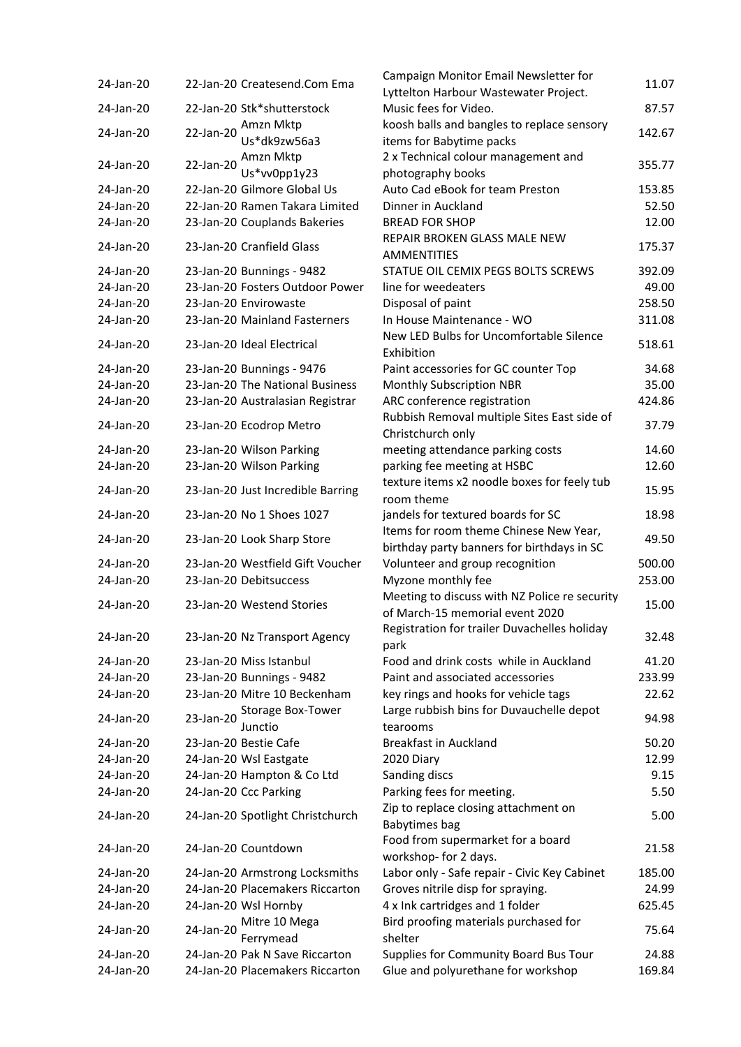| 24-Jan-20 | 22-Jan-20 Createsend.Com Ema          | Campaign Monitor Email Newsletter for         |
|-----------|---------------------------------------|-----------------------------------------------|
|           |                                       | Lyttelton Harbour Wastewater Project.         |
| 24-Jan-20 | 22-Jan-20 Stk*shutterstock            | Music fees for Video.                         |
| 24-Jan-20 | Amzn Mktp<br>22-Jan-20                | koosh balls and bangles to replace sensory    |
|           | Us*dk9zw56a3                          | items for Babytime packs                      |
| 24-Jan-20 | Amzn Mktp<br>22-Jan-20                | 2 x Technical colour management and           |
|           | Us*vv0pp1y23                          | photography books                             |
| 24-Jan-20 | 22-Jan-20 Gilmore Global Us           | Auto Cad eBook for team Preston               |
| 24-Jan-20 | 22-Jan-20 Ramen Takara Limited        | Dinner in Auckland                            |
| 24-Jan-20 | 23-Jan-20 Couplands Bakeries          | <b>BREAD FOR SHOP</b>                         |
| 24-Jan-20 | 23-Jan-20 Cranfield Glass             | REPAIR BROKEN GLASS MALE NEW                  |
|           |                                       | <b>AMMENTITIES</b>                            |
| 24-Jan-20 | 23-Jan-20 Bunnings - 9482             | STATUE OIL CEMIX PEGS BOLTS SCREWS            |
| 24-Jan-20 | 23-Jan-20 Fosters Outdoor Power       | line for weedeaters                           |
| 24-Jan-20 | 23-Jan-20 Envirowaste                 | Disposal of paint                             |
| 24-Jan-20 | 23-Jan-20 Mainland Fasterners         | In House Maintenance - WO                     |
|           |                                       | New LED Bulbs for Uncomfortable Silence       |
| 24-Jan-20 | 23-Jan-20 Ideal Electrical            | Exhibition                                    |
| 24-Jan-20 | 23-Jan-20 Bunnings - 9476             | Paint accessories for GC counter Top          |
| 24-Jan-20 | 23-Jan-20 The National Business       | <b>Monthly Subscription NBR</b>               |
| 24-Jan-20 | 23-Jan-20 Australasian Registrar      | ARC conference registration                   |
|           |                                       | Rubbish Removal multiple Sites East side of   |
| 24-Jan-20 | 23-Jan-20 Ecodrop Metro               | Christchurch only                             |
| 24-Jan-20 | 23-Jan-20 Wilson Parking              | meeting attendance parking costs              |
| 24-Jan-20 | 23-Jan-20 Wilson Parking              | parking fee meeting at HSBC                   |
|           |                                       | texture items x2 noodle boxes for feely tub   |
| 24-Jan-20 | 23-Jan-20 Just Incredible Barring     | room theme                                    |
| 24-Jan-20 | 23-Jan-20 No 1 Shoes 1027             | jandels for textured boards for SC            |
|           |                                       | Items for room theme Chinese New Year,        |
| 24-Jan-20 | 23-Jan-20 Look Sharp Store            | birthday party banners for birthdays in SC    |
| 24-Jan-20 | 23-Jan-20 Westfield Gift Voucher      | Volunteer and group recognition               |
| 24-Jan-20 | 23-Jan-20 Debitsuccess                | Myzone monthly fee                            |
|           |                                       | Meeting to discuss with NZ Police re security |
| 24-Jan-20 | 23-Jan-20 Westend Stories             | of March-15 memorial event 2020               |
|           |                                       | Registration for trailer Duvachelles holiday  |
| 24-Jan-20 | 23-Jan-20 Nz Transport Agency         | park                                          |
| 24-Jan-20 | 23-Jan-20 Miss Istanbul               | Food and drink costs while in Auckland        |
| 24-Jan-20 | 23-Jan-20 Bunnings - 9482             | Paint and associated accessories              |
| 24-Jan-20 | 23-Jan-20 Mitre 10 Beckenham          | key rings and hooks for vehicle tags          |
|           |                                       |                                               |
| 24-Jan-20 | <b>Storage Box-Tower</b><br>23-Jan-20 | Large rubbish bins for Duvauchelle depot      |
|           | Junctio                               | tearooms                                      |
| 24-Jan-20 | 23-Jan-20 Bestie Cafe                 | <b>Breakfast in Auckland</b>                  |
| 24-Jan-20 | 24-Jan-20 Wsl Eastgate                | 2020 Diary                                    |
| 24-Jan-20 | 24-Jan-20 Hampton & Co Ltd            | Sanding discs                                 |
| 24-Jan-20 | 24-Jan-20 Ccc Parking                 | Parking fees for meeting.                     |
| 24-Jan-20 | 24-Jan-20 Spotlight Christchurch      | Zip to replace closing attachment on          |
|           |                                       | Babytimes bag                                 |
| 24-Jan-20 | 24-Jan-20 Countdown                   | Food from supermarket for a board             |
|           |                                       | workshop- for 2 days.                         |
| 24-Jan-20 | 24-Jan-20 Armstrong Locksmiths        | Labor only - Safe repair - Civic Key Cabinet  |
| 24-Jan-20 | 24-Jan-20 Placemakers Riccarton       | Groves nitrile disp for spraying.             |
| 24-Jan-20 | 24-Jan-20 Wsl Hornby                  | 4 x Ink cartridges and 1 folder               |
| 24-Jan-20 | Mitre 10 Mega<br>24-Jan-20            | Bird proofing materials purchased for         |
|           | Ferrymead                             | shelter                                       |
| 24-Jan-20 | 24-Jan-20 Pak N Save Riccarton        | Supplies for Community Board Bus Tour         |
| 24-Jan-20 | 24-Jan-20 Placemakers Riccarton       | Glue and polyurethane for workshop            |

| 24-Jan-20              | 22-Jan-20 Createsend.Com Ema                | Campaign Monitor Email Newsletter for                                         | 11.07  |
|------------------------|---------------------------------------------|-------------------------------------------------------------------------------|--------|
|                        |                                             | Lyttelton Harbour Wastewater Project.                                         |        |
| 24-Jan-20              | 22-Jan-20 Stk*shutterstock                  | Music fees for Video.                                                         | 87.57  |
| 24-Jan-20              | Amzn Mktp<br>22-Jan-20                      | koosh balls and bangles to replace sensory                                    | 142.67 |
|                        | Us*dk9zw56a3                                | items for Babytime packs                                                      |        |
| 24-Jan-20              | Amzn Mktp<br>22-Jan-20                      | 2 x Technical colour management and                                           | 355.77 |
|                        | Us*vv0pp1y23<br>22-Jan-20 Gilmore Global Us | photography books<br>Auto Cad eBook for team Preston                          | 153.85 |
| 24-Jan-20<br>24-Jan-20 | 22-Jan-20 Ramen Takara Limited              | Dinner in Auckland                                                            | 52.50  |
|                        |                                             | <b>BREAD FOR SHOP</b>                                                         | 12.00  |
| 24-Jan-20              | 23-Jan-20 Couplands Bakeries                | REPAIR BROKEN GLASS MALE NEW                                                  |        |
| 24-Jan-20              | 23-Jan-20 Cranfield Glass                   | <b>AMMENTITIES</b>                                                            | 175.37 |
| 24-Jan-20              | 23-Jan-20 Bunnings - 9482                   | STATUE OIL CEMIX PEGS BOLTS SCREWS                                            | 392.09 |
| 24-Jan-20              | 23-Jan-20 Fosters Outdoor Power             | line for weedeaters                                                           | 49.00  |
| 24-Jan-20              | 23-Jan-20 Envirowaste                       | Disposal of paint                                                             | 258.50 |
| 24-Jan-20              | 23-Jan-20 Mainland Fasterners               | In House Maintenance - WO                                                     | 311.08 |
|                        |                                             | New LED Bulbs for Uncomfortable Silence                                       |        |
| 24-Jan-20              | 23-Jan-20 Ideal Electrical                  | Exhibition                                                                    | 518.61 |
| 24-Jan-20              | 23-Jan-20 Bunnings - 9476                   | Paint accessories for GC counter Top                                          | 34.68  |
| 24-Jan-20              | 23-Jan-20 The National Business             | <b>Monthly Subscription NBR</b>                                               | 35.00  |
| 24-Jan-20              | 23-Jan-20 Australasian Registrar            | ARC conference registration                                                   | 424.86 |
| 24-Jan-20              | 23-Jan-20 Ecodrop Metro                     | Rubbish Removal multiple Sites East side of<br>Christchurch only              | 37.79  |
| 24-Jan-20              | 23-Jan-20 Wilson Parking                    | meeting attendance parking costs                                              | 14.60  |
| 24-Jan-20              | 23-Jan-20 Wilson Parking                    | parking fee meeting at HSBC                                                   | 12.60  |
| 24-Jan-20              | 23-Jan-20 Just Incredible Barring           | texture items x2 noodle boxes for feely tub<br>room theme                     | 15.95  |
| 24-Jan-20              | 23-Jan-20 No 1 Shoes 1027                   | jandels for textured boards for SC                                            | 18.98  |
| 24-Jan-20              | 23-Jan-20 Look Sharp Store                  | Items for room theme Chinese New Year,                                        | 49.50  |
| 24-Jan-20              | 23-Jan-20 Westfield Gift Voucher            | birthday party banners for birthdays in SC<br>Volunteer and group recognition | 500.00 |
| 24-Jan-20              | 23-Jan-20 Debitsuccess                      | Myzone monthly fee                                                            | 253.00 |
|                        |                                             | Meeting to discuss with NZ Police re security                                 |        |
| 24-Jan-20              | 23-Jan-20 Westend Stories                   | of March-15 memorial event 2020                                               | 15.00  |
| 24-Jan-20              | 23-Jan-20 Nz Transport Agency               | Registration for trailer Duvachelles holiday<br>park                          | 32.48  |
| 24-Jan-20              | 23-Jan-20 Miss Istanbul                     | Food and drink costs while in Auckland                                        | 41.20  |
| 24-Jan-20              | 23-Jan-20 Bunnings - 9482                   | Paint and associated accessories                                              | 233.99 |
| 24-Jan-20              | 23-Jan-20 Mitre 10 Beckenham                | key rings and hooks for vehicle tags                                          | 22.62  |
| 24-Jan-20              | Storage Box-Tower<br>23-Jan-20              | Large rubbish bins for Duvauchelle depot                                      | 94.98  |
|                        | Junctio                                     | tearooms                                                                      |        |
| 24-Jan-20              | 23-Jan-20 Bestie Cafe                       | <b>Breakfast in Auckland</b>                                                  | 50.20  |
| 24-Jan-20              | 24-Jan-20 Wsl Eastgate                      | 2020 Diary                                                                    | 12.99  |
| 24-Jan-20              | 24-Jan-20 Hampton & Co Ltd                  | Sanding discs                                                                 | 9.15   |
| 24-Jan-20              | 24-Jan-20 Ccc Parking                       | Parking fees for meeting.                                                     | 5.50   |
| 24-Jan-20              | 24-Jan-20 Spotlight Christchurch            | Zip to replace closing attachment on<br>Babytimes bag                         | 5.00   |
| 24-Jan-20              | 24-Jan-20 Countdown                         | Food from supermarket for a board<br>workshop- for 2 days.                    | 21.58  |
| 24-Jan-20              | 24-Jan-20 Armstrong Locksmiths              | Labor only - Safe repair - Civic Key Cabinet                                  | 185.00 |
| 24-Jan-20              | 24-Jan-20 Placemakers Riccarton             | Groves nitrile disp for spraying.                                             | 24.99  |
| 24-Jan-20              | 24-Jan-20 Wsl Hornby                        | 4 x Ink cartridges and 1 folder                                               | 625.45 |
|                        | Mitre 10 Mega                               | Bird proofing materials purchased for                                         |        |
| 24-Jan-20              | 24-Jan-20<br>Ferrymead                      | shelter                                                                       | 75.64  |
| 24-Jan-20              | 24-Jan-20 Pak N Save Riccarton              | Supplies for Community Board Bus Tour                                         | 24.88  |
| 24-Jan-20              | 24-Jan-20 Placemakers Riccarton             | Glue and polyurethane for workshop                                            | 169.84 |